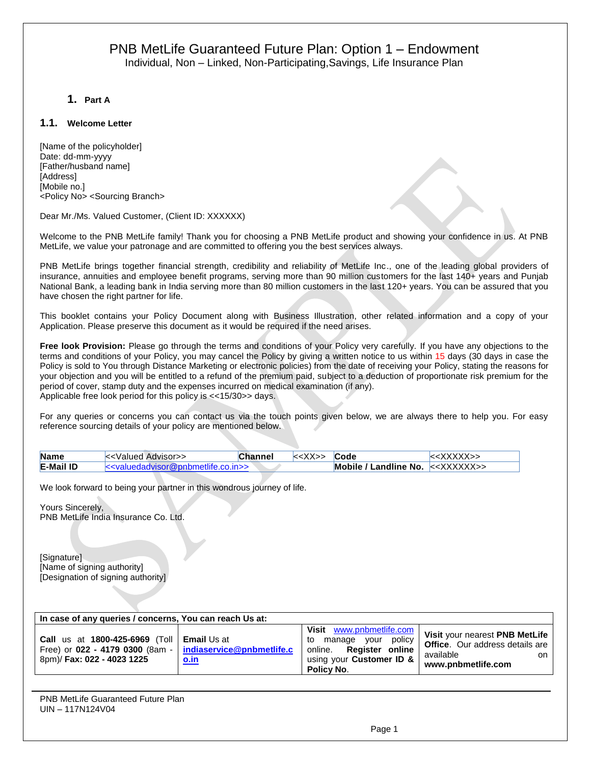**1. Part A**

#### **1.1. Welcome Letter**

[Name of the policyholder] Date: dd-mm-yyyy [Father/husband name] [Address] [Mobile no.] <Policy No> <Sourcing Branch>

Dear Mr./Ms. Valued Customer, (Client ID: XXXXXX)

Welcome to the PNB MetLife family! Thank you for choosing a PNB MetLife product and showing your confidence in us. At PNB MetLife, we value your patronage and are committed to offering you the best services always.

PNB MetLife brings together financial strength, credibility and reliability of MetLife Inc., one of the leading global providers of insurance, annuities and employee benefit programs, serving more than 90 million customers for the last 140+ years and Punjab National Bank, a leading bank in India serving more than 80 million customers in the last 120+ years. You can be assured that you have chosen the right partner for life.

This booklet contains your Policy Document along with Business Illustration, other related information and a copy of your Application. Please preserve this document as it would be required if the need arises.

**Free look Provision:** Please go through the terms and conditions of your Policy very carefully. If you have any objections to the terms and conditions of your Policy, you may cancel the Policy by giving a written notice to us within 15 days (30 days in case the Policy is sold to You through Distance Marketing or electronic policies) from the date of receiving your Policy, stating the reasons for your objection and you will be entitled to a refund of the premium paid, subject to a deduction of proportionate risk premium for the period of cover, stamp duty and the expenses incurred on medical examination (if any). Applicable free look period for this policy is <<15/30>> days.

For any queries or concerns you can contact us via the touch points given below, we are always there to help you. For easy reference sourcing details of your policy are mentioned below.

| <b>Name</b>      | < <valued advisor="">&gt;</valued>    | Channel | < <xx>&gt;</xx> | <b>Code</b>                                      |  |
|------------------|---------------------------------------|---------|-----------------|--------------------------------------------------|--|
| <b>E-Mail ID</b> | dvisor@pnbmetlife.co.in>><br>kkvaluer |         |                 | Mobile / Landline No. $\le\ltimes$ XXXXX $\ge$ > |  |

We look forward to being your partner in this wondrous journey of life.

Yours Sincerely, PNB MetLife India Insurance Co. Ltd.

[Signature] [Name of signing authority] [Designation of signing authority]

| In case of any queries / concerns, You can reach Us at:                                                                                            |             |                                                                                                                                           |                                                                                                                    |  |
|----------------------------------------------------------------------------------------------------------------------------------------------------|-------------|-------------------------------------------------------------------------------------------------------------------------------------------|--------------------------------------------------------------------------------------------------------------------|--|
| <b>Call us at 1800-425-6969 (Toll   Email Us at</b><br>Free) or $022 - 4179 0300$ (8am -   indiaservice@pnbmetlife.c<br>8pm)/ Fax: 022 - 4023 1225 | <u>o.in</u> | Visit www.pnbmetlife.com<br>policy<br>vour<br>manage<br>to<br><b>Register online</b><br>online.<br>using your Customer ID &<br>Policy No. | Visit your nearest PNB MetLife<br><b>Office.</b> Our address details are<br>available<br>on.<br>www.pnbmetlife.com |  |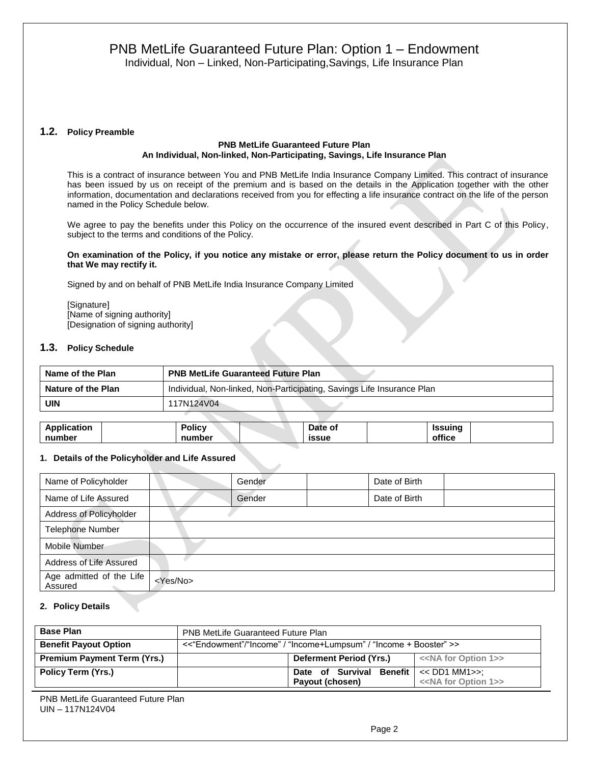#### **1.2. Policy Preamble**

#### **PNB MetLife Guaranteed Future Plan An Individual, Non-linked, Non-Participating, Savings, Life Insurance Plan**

This is a contract of insurance between You and PNB MetLife India Insurance Company Limited. This contract of insurance has been issued by us on receipt of the premium and is based on the details in the Application together with the other information, documentation and declarations received from you for effecting a life insurance contract on the life of the person named in the Policy Schedule below.

We agree to pay the benefits under this Policy on the occurrence of the insured event described in Part C of this Policy, subject to the terms and conditions of the Policy.

#### **On examination of the Policy, if you notice any mistake or error, please return the Policy document to us in order that We may rectify it.**

Signed by and on behalf of PNB MetLife India Insurance Company Limited

[Signature] [Name of signing authority] [Designation of signing authority]

#### **1.3. Policy Schedule**

| Name of the Plan   | <b>PNB MetLife Guaranteed Future Plan</b>                              |
|--------------------|------------------------------------------------------------------------|
| Nature of the Plan | Individual, Non-linked, Non-Participating, Savings Life Insurance Plan |
| UIN                | 117N124V04                                                             |

| Application | Policy | Date of      | Issuina |  |
|-------------|--------|--------------|---------|--|
| number      | number | <b>issue</b> | office  |  |

#### **1. Details of the Policyholder and Life Assured**

| Name of Policyholder                |                   | Gender | Date of Birth |  |
|-------------------------------------|-------------------|--------|---------------|--|
| Name of Life Assured                |                   | Gender | Date of Birth |  |
| Address of Policyholder             |                   |        |               |  |
| <b>Telephone Number</b>             |                   |        |               |  |
| Mobile Number                       |                   |        |               |  |
| Address of Life Assured             |                   |        |               |  |
| Age admitted of the Life<br>Assured | <yes no=""></yes> |        |               |  |

## **2. Policy Details**

| <b>Base Plan</b>                   | <b>PNB MetLife Guaranteed Future Plan</b>                         |                                           |                                       |  |  |
|------------------------------------|-------------------------------------------------------------------|-------------------------------------------|---------------------------------------|--|--|
| <b>Benefit Payout Option</b>       | <<"Endowment"/"Income" / "Income+Lumpsum" / "Income + Booster" >> |                                           |                                       |  |  |
| <b>Premium Payment Term (Yrs.)</b> |                                                                   | Deferment Period (Yrs.)                   | < <na 1="" for="" option="">&gt;</na> |  |  |
| Policy Term (Yrs.)                 |                                                                   | Date of Survival Benefit $\le$ DD1 MM1>>: |                                       |  |  |
|                                    |                                                                   | Payout (chosen)                           | < <na 1="" for="" option="">&gt;</na> |  |  |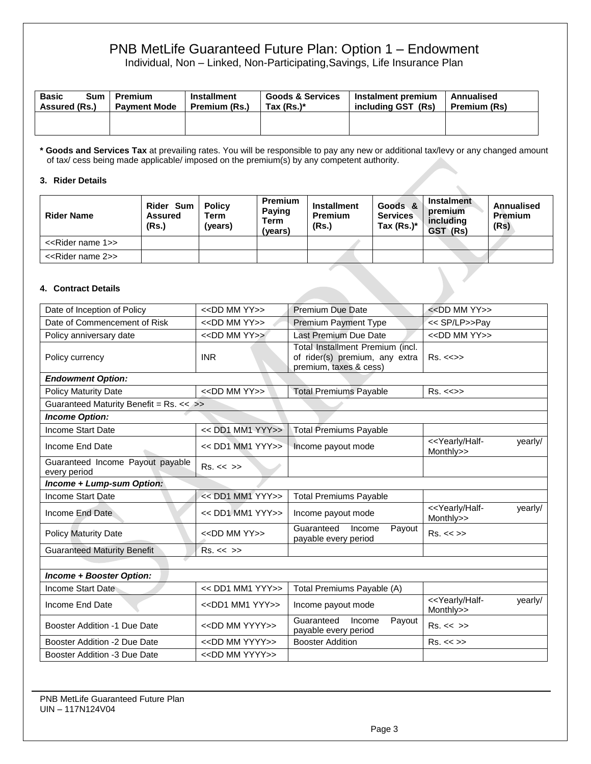Individual, Non – Linked, Non-Participating,Savings, Life Insurance Plan

| <b>Basic</b><br>Sum<br>Assured (Rs.) | Premium<br><b>Payment Mode</b> | <b>Installment</b><br>Premium (Rs.) | <b>Goods &amp; Services</b><br>Tax (Rs.)* | Instalment premium<br>including GST (Rs) | Annualised<br><b>Premium (Rs)</b> |
|--------------------------------------|--------------------------------|-------------------------------------|-------------------------------------------|------------------------------------------|-----------------------------------|
|                                      |                                |                                     |                                           |                                          |                                   |

**\* Goods and Services Tax** at prevailing rates. You will be responsible to pay any new or additional tax/levy or any changed amount of tax/ cess being made applicable/ imposed on the premium(s) by any competent authority.

## **3. Rider Details**

| <b>Rider Name</b>                  | Rider Sum<br><b>Assured</b><br>(Rs.) | <b>Policy</b><br>Term<br>(years) | <b>Premium</b><br><b>Paying</b><br>Term<br>(years) | <b>Installment</b><br><b>Premium</b><br>(Rs.) | Goods &<br><b>Services</b><br>Tax $(Rs.)^*$ | <b>Instalment</b><br>premium<br>including<br>GST (Rs) | Annualised<br><b>Premium</b><br>(Rs) |
|------------------------------------|--------------------------------------|----------------------------------|----------------------------------------------------|-----------------------------------------------|---------------------------------------------|-------------------------------------------------------|--------------------------------------|
| < <rider 1="" name="">&gt;</rider> |                                      |                                  |                                                    |                                               |                                             |                                                       |                                      |
| < <rider 2="" name="">&gt;</rider> |                                      |                                  |                                                    |                                               |                                             |                                                       |                                      |
| 4. Contract Details                |                                      |                                  |                                                    |                                               |                                             |                                                       |                                      |

## **4. Contract Details**

| Date of Inception of Policy                      | $<<$ DD MM YY $>>$            | Premium Due Date                                                                             | $<<$ DD MM YY $>>$                                         |
|--------------------------------------------------|-------------------------------|----------------------------------------------------------------------------------------------|------------------------------------------------------------|
| Date of Commencement of Risk                     | $<<$ DD MM YY $>>$            | Premium Payment Type                                                                         | << SP/LP>>Pay                                              |
| Policy anniversary date                          | $<<$ DD MM YY $>>$            | Last Premium Due Date                                                                        | < <dd mm="" yy="">&gt;</dd>                                |
| Policy currency                                  | <b>INR</b>                    | Total Installment Premium (incl.<br>of rider(s) premium, any extra<br>premium, taxes & cess) | $Rs. < \Leftrightarrow$                                    |
| <b>Endowment Option:</b>                         |                               |                                                                                              |                                                            |
| <b>Policy Maturity Date</b>                      | < <dd mm="" yy="">&gt;</dd>   | <b>Total Premiums Payable</b>                                                                | $Rs. < \Leftrightarrow$                                    |
| Guaranteed Maturity Benefit = Rs. << >>          |                               |                                                                                              |                                                            |
| <b>Income Option:</b>                            |                               |                                                                                              |                                                            |
| <b>Income Start Date</b>                         | $<<$ DD1 MM1 YYY>>            | <b>Total Premiums Payable</b>                                                                |                                                            |
| Income End Date                                  | << DD1 MM1 YYY>>              | Income payout mode                                                                           | < <yearly half-<br="">yearly/<br/>Monthly&gt;&gt;</yearly> |
| Guaranteed Income Payout payable<br>every period | Rs. < < >>                    |                                                                                              |                                                            |
| Income + Lump-sum Option:                        |                               |                                                                                              |                                                            |
| <b>Income Start Date</b>                         | << DD1 MM1 YYY>>              | <b>Total Premiums Payable</b>                                                                |                                                            |
| Income End Date                                  | << DD1 MM1 YYY>>              | Income payout mode                                                                           | < <yearly half-<br="">yearly/<br/>Monthly&gt;&gt;</yearly> |
| <b>Policy Maturity Date</b>                      | $<<$ DD MM YY $>>$            | Guaranteed<br>Income<br>Payout<br>payable every period                                       | Rs. < >>                                                   |
| <b>Guaranteed Maturity Benefit</b>               | Rs. < < >>                    |                                                                                              |                                                            |
|                                                  |                               |                                                                                              |                                                            |
| Income + Booster Option:                         |                               |                                                                                              |                                                            |
| Income Start Date                                | << DD1 MM1 YYY>>              | Total Premiums Payable (A)                                                                   |                                                            |
| Income End Date                                  | $<<$ DD1 MM1 YYY>>            | Income payout mode                                                                           | < <yearly half-<br="">yearly/<br/>Monthly&gt;&gt;</yearly> |
| <b>Booster Addition -1 Due Date</b>              | < <dd mm="" yyyy="">&gt;</dd> | Guaranteed<br>Income<br>Payout<br>payable every period                                       | $Rs. \ll \gg$                                              |
| Booster Addition -2 Due Date                     | < <dd mm="" yyyy="">&gt;</dd> | <b>Booster Addition</b>                                                                      | Rs. < >>                                                   |
| Booster Addition -3 Due Date                     | < <dd mm="" yyyy="">&gt;</dd> |                                                                                              |                                                            |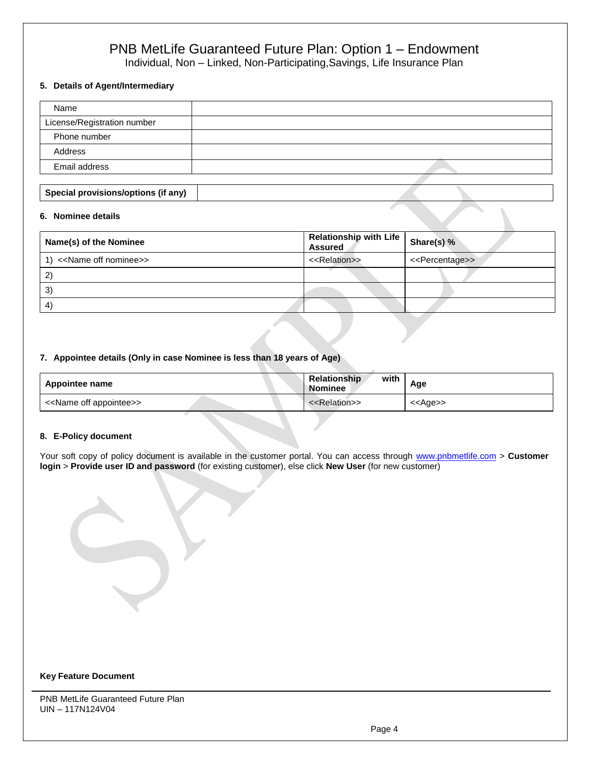Individual, Non – Linked, Non-Participating,Savings, Life Insurance Plan

# **5. Details of Agent/Intermediary**

| Name                                |  |
|-------------------------------------|--|
| License/Registration number         |  |
| Phone number                        |  |
| Address                             |  |
| Email address                       |  |
|                                     |  |
| Special provisions/options (if any) |  |

#### **6. Nominee details**

| Name(s) of the Nominee                | Relationship with Life   Share(s) %<br><b>Assured</b> |                                 |
|---------------------------------------|-------------------------------------------------------|---------------------------------|
| < <name nominee="" off="">&gt;</name> | < <relation>&gt;</relation>                           | < <percentage>&gt;</percentage> |
| 2                                     |                                                       |                                 |
| $\mathbf{3}^{\prime}$                 |                                                       |                                 |
| 4                                     |                                                       |                                 |

## **7. Appointee details (Only in case Nominee is less than 18 years of Age)**

| Appointee name                          | with<br><b>Relationship</b><br>Nominee | Age               |
|-----------------------------------------|----------------------------------------|-------------------|
| < <name appointee="" off="">&gt;</name> | < <relation>&gt;</relation>            | < <age>&gt;</age> |

## **8. E-Policy document**

Your soft copy of policy document is available in the customer portal. You can access through [www.pnbmetlife.com](http://www.pnbmetlife.com/) > Customer **login** > **Provide user ID and password** (for existing customer), else click **New User** (for new customer)

#### **Key Feature Document**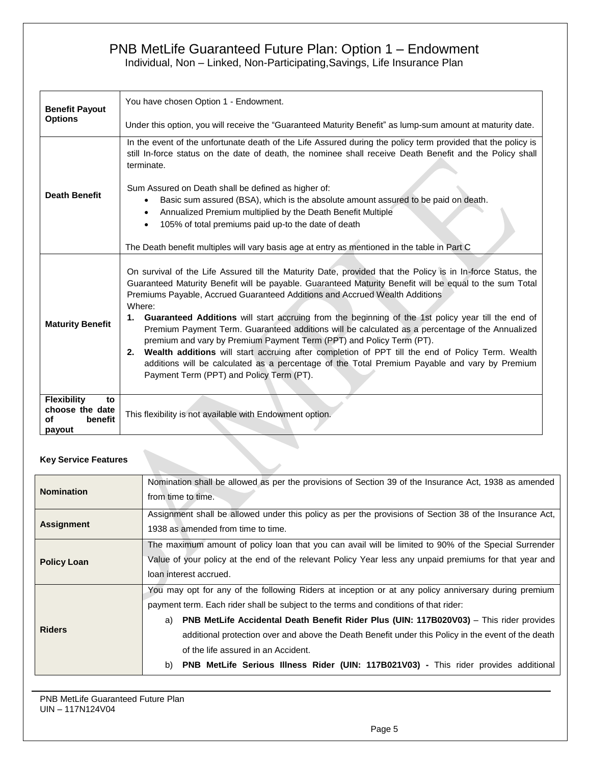Individual, Non – Linked, Non-Participating,Savings, Life Insurance Plan

| <b>Benefit Payout</b>                                                  | You have chosen Option 1 - Endowment.                                                                                                                                                                                                                                                                                                                                                                                                                                                                                                                                                                                                                                                                                                                                                                                                                      |
|------------------------------------------------------------------------|------------------------------------------------------------------------------------------------------------------------------------------------------------------------------------------------------------------------------------------------------------------------------------------------------------------------------------------------------------------------------------------------------------------------------------------------------------------------------------------------------------------------------------------------------------------------------------------------------------------------------------------------------------------------------------------------------------------------------------------------------------------------------------------------------------------------------------------------------------|
| <b>Options</b>                                                         | Under this option, you will receive the "Guaranteed Maturity Benefit" as lump-sum amount at maturity date.                                                                                                                                                                                                                                                                                                                                                                                                                                                                                                                                                                                                                                                                                                                                                 |
|                                                                        | In the event of the unfortunate death of the Life Assured during the policy term provided that the policy is<br>still In-force status on the date of death, the nominee shall receive Death Benefit and the Policy shall<br>terminate.<br>Sum Assured on Death shall be defined as higher of:                                                                                                                                                                                                                                                                                                                                                                                                                                                                                                                                                              |
| <b>Death Benefit</b>                                                   | Basic sum assured (BSA), which is the absolute amount assured to be paid on death.<br>Annualized Premium multiplied by the Death Benefit Multiple<br>105% of total premiums paid up-to the date of death                                                                                                                                                                                                                                                                                                                                                                                                                                                                                                                                                                                                                                                   |
|                                                                        | The Death benefit multiples will vary basis age at entry as mentioned in the table in Part C                                                                                                                                                                                                                                                                                                                                                                                                                                                                                                                                                                                                                                                                                                                                                               |
| <b>Maturity Benefit</b>                                                | On survival of the Life Assured till the Maturity Date, provided that the Policy is in In-force Status, the<br>Guaranteed Maturity Benefit will be payable. Guaranteed Maturity Benefit will be equal to the sum Total<br>Premiums Payable, Accrued Guaranteed Additions and Accrued Wealth Additions<br>Where:<br>1. Guaranteed Additions will start accruing from the beginning of the 1st policy year till the end of<br>Premium Payment Term. Guaranteed additions will be calculated as a percentage of the Annualized<br>premium and vary by Premium Payment Term (PPT) and Policy Term (PT).<br>Wealth additions will start accruing after completion of PPT till the end of Policy Term. Wealth<br>2.<br>additions will be calculated as a percentage of the Total Premium Payable and vary by Premium<br>Payment Term (PPT) and Policy Term (PT). |
| <b>Flexibility</b><br>to<br>choose the date<br>benefit<br>of<br>payout | This flexibility is not available with Endowment option.                                                                                                                                                                                                                                                                                                                                                                                                                                                                                                                                                                                                                                                                                                                                                                                                   |

# **Key Service Features**

| <b>Nomination</b>  | Nomination shall be allowed as per the provisions of Section 39 of the Insurance Act, 1938 as amended<br>from time to time.                                                                                                                                                                                                                                                                                                                                                                                                                     |  |  |
|--------------------|-------------------------------------------------------------------------------------------------------------------------------------------------------------------------------------------------------------------------------------------------------------------------------------------------------------------------------------------------------------------------------------------------------------------------------------------------------------------------------------------------------------------------------------------------|--|--|
| <b>Assignment</b>  | Assignment shall be allowed under this policy as per the provisions of Section 38 of the Insurance Act,<br>1938 as amended from time to time.                                                                                                                                                                                                                                                                                                                                                                                                   |  |  |
| <b>Policy Loan</b> | The maximum amount of policy loan that you can avail will be limited to 90% of the Special Surrender<br>Value of your policy at the end of the relevant Policy Year less any unpaid premiums for that year and<br>loan interest accrued.                                                                                                                                                                                                                                                                                                        |  |  |
| <b>Riders</b>      | You may opt for any of the following Riders at inception or at any policy anniversary during premium<br>payment term. Each rider shall be subject to the terms and conditions of that rider:<br>PNB MetLife Accidental Death Benefit Rider Plus (UIN: 117B020V03) - This rider provides<br>a)<br>additional protection over and above the Death Benefit under this Policy in the event of the death<br>of the life assured in an Accident.<br><b>PNB MetLife Serious Illness Rider (UIN: 117B021V03)</b> - This rider provides additional<br>b) |  |  |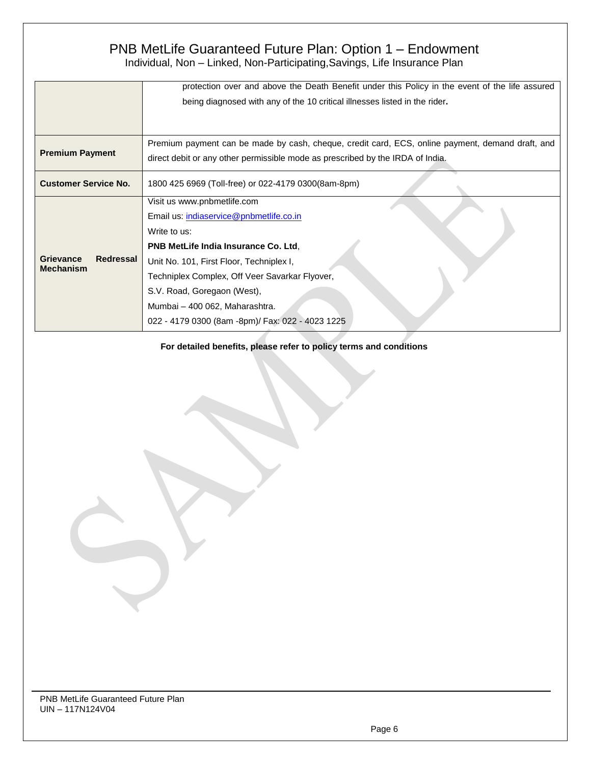| Premium payment can be made by cash, cheque, credit card, ECS, online payment, demand draft, and |
|--------------------------------------------------------------------------------------------------|
|                                                                                                  |
|                                                                                                  |
|                                                                                                  |
|                                                                                                  |
|                                                                                                  |
|                                                                                                  |
|                                                                                                  |
|                                                                                                  |
|                                                                                                  |
|                                                                                                  |
|                                                                                                  |
|                                                                                                  |

**For detailed benefits, please refer to policy terms and conditions**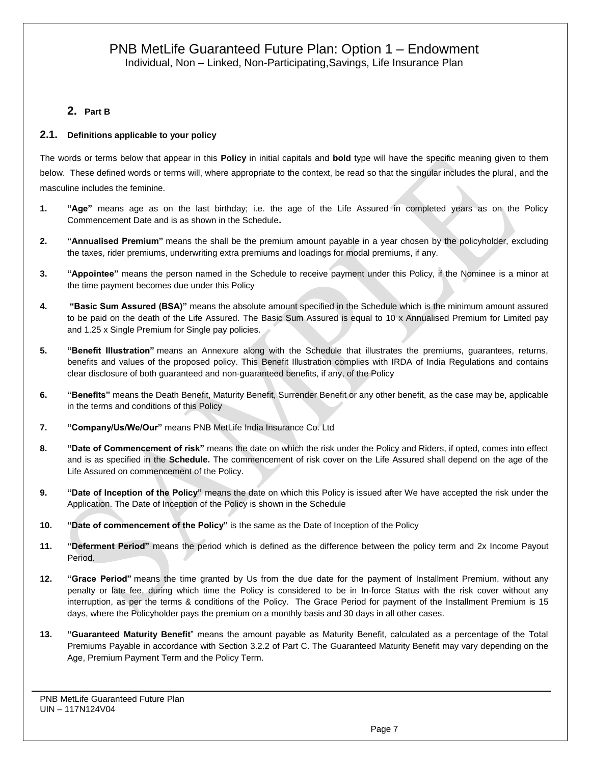# **2. Part B**

# **2.1. Definitions applicable to your policy**

The words or terms below that appear in this **Policy** in initial capitals and **bold** type will have the specific meaning given to them below. These defined words or terms will, where appropriate to the context, be read so that the singular includes the plural, and the masculine includes the feminine.

- **1. "Age"** means age as on the last birthday; i.e. the age of the Life Assured in completed years as on the Policy Commencement Date and is as shown in the Schedule**.**
- **2. "Annualised Premium"** means the shall be the premium amount payable in a year chosen by the policyholder, excluding the taxes, rider premiums, underwriting extra premiums and loadings for modal premiums, if any.
- **3. "Appointee"** means the person named in the Schedule to receive payment under this Policy, if the Nominee is a minor at the time payment becomes due under this Policy
- **4. "Basic Sum Assured (BSA)"** means the absolute amount specified in the Schedule which is the minimum amount assured to be paid on the death of the Life Assured. The Basic Sum Assured is equal to 10 x Annualised Premium for Limited pay and 1.25 x Single Premium for Single pay policies.
- **5. "Benefit Illustration"** means an Annexure along with the Schedule that illustrates the premiums, guarantees, returns, benefits and values of the proposed policy. This Benefit Illustration complies with IRDA of India Regulations and contains clear disclosure of both guaranteed and non-guaranteed benefits, if any, of the Policy
- **6. "Benefits"** means the Death Benefit, Maturity Benefit, Surrender Benefit or any other benefit, as the case may be, applicable in the terms and conditions of this Policy
- **7. "Company/Us/We/Our"** means PNB MetLife India Insurance Co. Ltd
- **8. "Date of Commencement of risk"** means the date on which the risk under the Policy and Riders, if opted, comes into effect and is as specified in the **Schedule.** The commencement of risk cover on the Life Assured shall depend on the age of the Life Assured on commencement of the Policy.
- **9. "Date of Inception of the Policy"** means the date on which this Policy is issued after We have accepted the risk under the Application. The Date of Inception of the Policy is shown in the Schedule
- **10. "Date of commencement of the Policy"** is the same as the Date of Inception of the Policy
- **11. "Deferment Period"** means the period which is defined as the difference between the policy term and 2x Income Payout Period.
- **12. "Grace Period"** means the time granted by Us from the due date for the payment of Installment Premium, without any penalty or late fee, during which time the Policy is considered to be in In-force Status with the risk cover without any interruption, as per the terms & conditions of the Policy. The Grace Period for payment of the Installment Premium is 15 days, where the Policyholder pays the premium on a monthly basis and 30 days in all other cases.
- **13. "Guaranteed Maturity Benefit**" means the amount payable as Maturity Benefit, calculated as a percentage of the Total Premiums Payable in accordance with Section 3.2.2 of Part C. The Guaranteed Maturity Benefit may vary depending on the Age, Premium Payment Term and the Policy Term.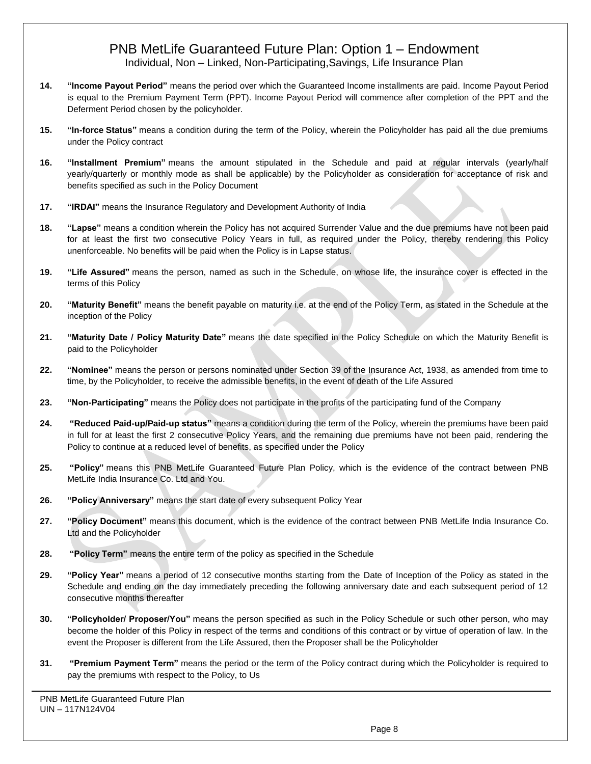- **14. "Income Payout Period"** means the period over which the Guaranteed Income installments are paid. Income Payout Period is equal to the Premium Payment Term (PPT). Income Payout Period will commence after completion of the PPT and the Deferment Period chosen by the policyholder.
- **15. "In-force Status"** means a condition during the term of the Policy, wherein the Policyholder has paid all the due premiums under the Policy contract
- **16. "Installment Premium"** means the amount stipulated in the Schedule and paid at regular intervals (yearly/half yearly/quarterly or monthly mode as shall be applicable) by the Policyholder as consideration for acceptance of risk and benefits specified as such in the Policy Document
- **17. "IRDAI"** means the Insurance Regulatory and Development Authority of India
- **18. "Lapse"** means a condition wherein the Policy has not acquired Surrender Value and the due premiums have not been paid for at least the first two consecutive Policy Years in full, as required under the Policy, thereby rendering this Policy unenforceable. No benefits will be paid when the Policy is in Lapse status.
- **19. "Life Assured"** means the person, named as such in the Schedule, on whose life, the insurance cover is effected in the terms of this Policy
- **20. "Maturity Benefit"** means the benefit payable on maturity i.e. at the end of the Policy Term, as stated in the Schedule at the inception of the Policy
- **21. "Maturity Date / Policy Maturity Date"** means the date specified in the Policy Schedule on which the Maturity Benefit is paid to the Policyholder
- **22. "Nominee"** means the person or persons nominated under Section 39 of the Insurance Act, 1938, as amended from time to time, by the Policyholder, to receive the admissible benefits, in the event of death of the Life Assured
- **23. "Non-Participating"** means the Policy does not participate in the profits of the participating fund of the Company
- **24. "Reduced Paid-up/Paid-up status"** means a condition during the term of the Policy, wherein the premiums have been paid in full for at least the first 2 consecutive Policy Years, and the remaining due premiums have not been paid, rendering the Policy to continue at a reduced level of benefits, as specified under the Policy
- **25. "Policy"** means this PNB MetLife Guaranteed Future Plan Policy, which is the evidence of the contract between PNB MetLife India Insurance Co. Ltd and You.
- **26. "Policy Anniversary"** means the start date of every subsequent Policy Year
- **27. "Policy Document"** means this document, which is the evidence of the contract between PNB MetLife India Insurance Co. Ltd and the Policyholder
- **28. "Policy Term"** means the entire term of the policy as specified in the Schedule
- **29. "Policy Year"** means a period of 12 consecutive months starting from the Date of Inception of the Policy as stated in the Schedule and ending on the day immediately preceding the following anniversary date and each subsequent period of 12 consecutive months thereafter
- **30. "Policyholder/ Proposer/You"** means the person specified as such in the Policy Schedule or such other person, who may become the holder of this Policy in respect of the terms and conditions of this contract or by virtue of operation of law. In the event the Proposer is different from the Life Assured, then the Proposer shall be the Policyholder
- **31. "Premium Payment Term"** means the period or the term of the Policy contract during which the Policyholder is required to pay the premiums with respect to the Policy, to Us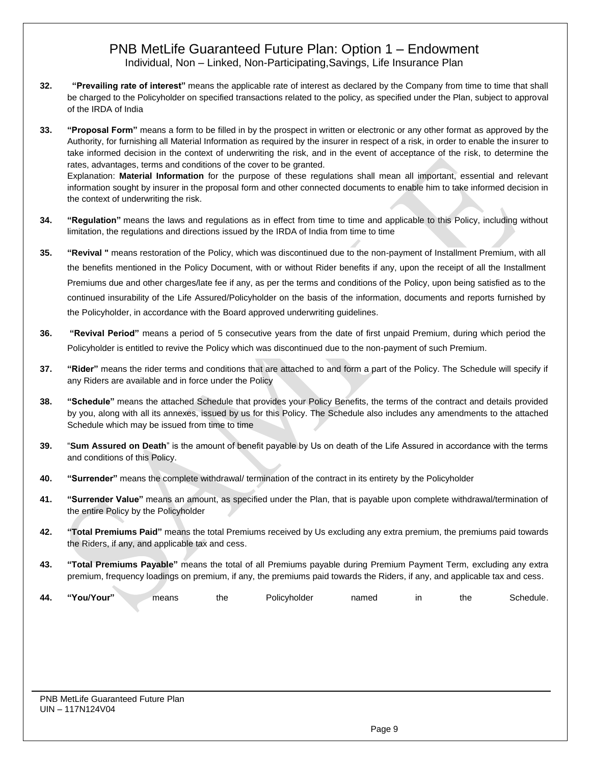**32. "Prevailing rate of interest"** means the applicable rate of interest as declared by the Company from time to time that shall be charged to the Policyholder on specified transactions related to the policy, as specified under the Plan, subject to approval of the IRDA of India

**33. "Proposal Form"** means a form to be filled in by the prospect in written or electronic or any other format as approved by the Authority, for furnishing all Material Information as required by the insurer in respect of a risk, in order to enable the insurer to take informed decision in the context of underwriting the risk, and in the event of acceptance of the risk, to determine the rates, advantages, terms and conditions of the cover to be granted. Explanation: **Material Information** for the purpose of these regulations shall mean all important, essential and relevant information sought by insurer in the proposal form and other connected documents to enable him to take informed decision in the context of underwriting the risk.

- **34. "Regulation"** means the laws and regulations as in effect from time to time and applicable to this Policy, including without limitation, the regulations and directions issued by the IRDA of India from time to time
- **35. "Revival "** means restoration of the Policy, which was discontinued due to the non-payment of Installment Premium, with all the benefits mentioned in the Policy Document, with or without Rider benefits if any, upon the receipt of all the Installment Premiums due and other charges/late fee if any, as per the terms and conditions of the Policy, upon being satisfied as to the continued insurability of the Life Assured/Policyholder on the basis of the information, documents and reports furnished by the Policyholder, in accordance with the Board approved underwriting guidelines.
- **36. "Revival Period"** means a period of 5 consecutive years from the date of first unpaid Premium, during which period the Policyholder is entitled to revive the Policy which was discontinued due to the non-payment of such Premium.
- **37. "Rider"** means the rider terms and conditions that are attached to and form a part of the Policy. The Schedule will specify if any Riders are available and in force under the Policy
- **38. "Schedule"** means the attached Schedule that provides your Policy Benefits, the terms of the contract and details provided by you, along with all its annexes, issued by us for this Policy. The Schedule also includes any amendments to the attached Schedule which may be issued from time to time
- **39.** "**Sum Assured on Death**" is the amount of benefit payable by Us on death of the Life Assured in accordance with the terms and conditions of this Policy.
- **40. "Surrender"** means the complete withdrawal/ termination of the contract in its entirety by the Policyholder
- **41. "Surrender Value"** means an amount, as specified under the Plan, that is payable upon complete withdrawal/termination of the entire Policy by the Policyholder
- **42. "Total Premiums Paid"** means the total Premiums received by Us excluding any extra premium, the premiums paid towards the Riders, if any, and applicable tax and cess.
- **43. "Total Premiums Payable"** means the total of all Premiums payable during Premium Payment Term, excluding any extra premium, frequency loadings on premium, if any, the premiums paid towards the Riders, if any, and applicable tax and cess.

| 44. | $\alpha$<br>』/Your" | neans | the | .<br>Polic∨holder | namad<br>idi<br>IGL | ın | the | $-$<br>hedule<br>וטר |
|-----|---------------------|-------|-----|-------------------|---------------------|----|-----|----------------------|
|-----|---------------------|-------|-----|-------------------|---------------------|----|-----|----------------------|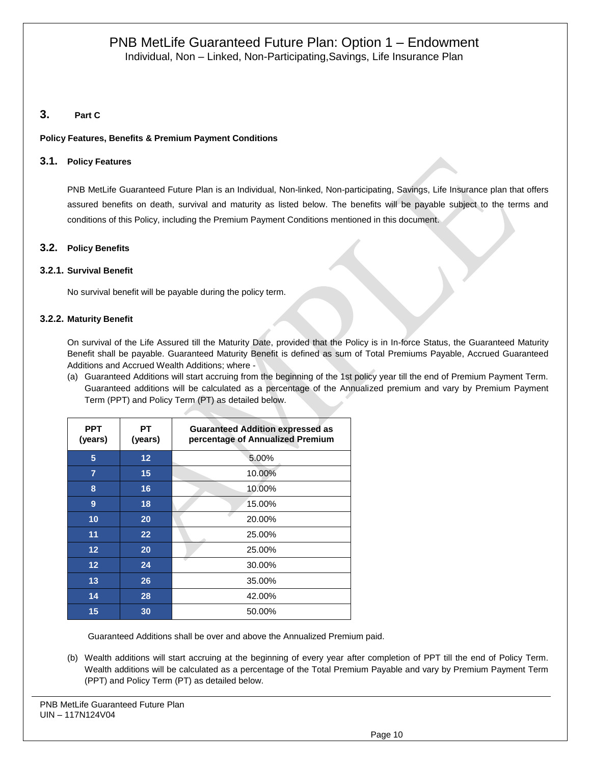# **3. Part C**

# **Policy Features, Benefits & Premium Payment Conditions**

# **3.1. Policy Features**

PNB MetLife Guaranteed Future Plan is an Individual, Non-linked, Non-participating, Savings, Life Insurance plan that offers assured benefits on death, survival and maturity as listed below. The benefits will be payable subject to the terms and conditions of this Policy, including the Premium Payment Conditions mentioned in this document.

# **3.2. Policy Benefits**

# **3.2.1. Survival Benefit**

No survival benefit will be payable during the policy term.

## **3.2.2. Maturity Benefit**

On survival of the Life Assured till the Maturity Date, provided that the Policy is in In-force Status, the Guaranteed Maturity Benefit shall be payable. Guaranteed Maturity Benefit is defined as sum of Total Premiums Payable, Accrued Guaranteed Additions and Accrued Wealth Additions; where -

(a) Guaranteed Additions will start accruing from the beginning of the 1st policy year till the end of Premium Payment Term. Guaranteed additions will be calculated as a percentage of the Annualized premium and vary by Premium Payment Term (PPT) and Policy Term (PT) as detailed below.

| <b>PPT</b><br>(years) | PТ<br>(years) | <b>Guaranteed Addition expressed as</b><br>percentage of Annualized Premium |
|-----------------------|---------------|-----------------------------------------------------------------------------|
| 5                     | 12            | 5.00%                                                                       |
| $\overline{7}$        | 15            | 10.00%                                                                      |
| 8                     | 16            | 10.00%                                                                      |
| 9                     | 18            | 15.00%                                                                      |
| 10                    | 20            | 20.00%                                                                      |
| 11                    | 22            | 25.00%                                                                      |
| 12                    | 20            | 25.00%                                                                      |
| $12 \overline{ }$     | 24            | 30.00%                                                                      |
| 13                    | 26            | 35.00%                                                                      |
| 14                    | 28            | 42.00%                                                                      |
| 15                    | 30            | 50.00%                                                                      |

Guaranteed Additions shall be over and above the Annualized Premium paid.

(b) Wealth additions will start accruing at the beginning of every year after completion of PPT till the end of Policy Term. Wealth additions will be calculated as a percentage of the Total Premium Payable and vary by Premium Payment Term (PPT) and Policy Term (PT) as detailed below.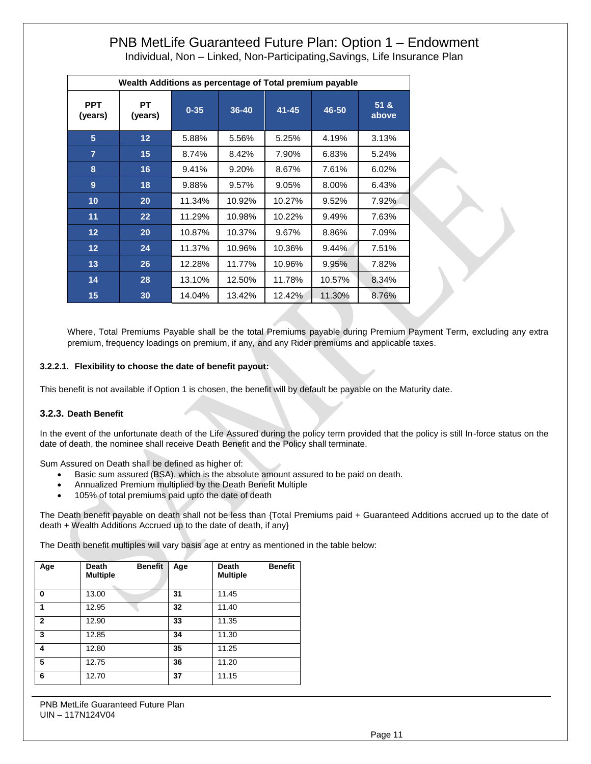Individual, Non – Linked, Non-Participating,Savings, Life Insurance Plan

|                       | Wealth Additions as percentage of Total premium payable |          |        |           |        |               |
|-----------------------|---------------------------------------------------------|----------|--------|-----------|--------|---------------|
| <b>PPT</b><br>(years) | <b>PT</b><br>(years)                                    | $0 - 35$ | 36-40  | $41 - 45$ | 46-50  | 51 &<br>above |
| 5                     | $12 \overline{ }$                                       | 5.88%    | 5.56%  | 5.25%     | 4.19%  | 3.13%         |
| $\overline{7}$        | 15                                                      | 8.74%    | 8.42%  | 7.90%     | 6.83%  | 5.24%         |
| 8                     | 16                                                      | 9.41%    | 9.20%  | 8.67%     | 7.61%  | 6.02%         |
| 9                     | 18                                                      | 9.88%    | 9.57%  | 9.05%     | 8.00%  | 6.43%         |
| 10                    | 20                                                      | 11.34%   | 10.92% | 10.27%    | 9.52%  | 7.92%         |
| 11                    | 22                                                      | 11.29%   | 10.98% | 10.22%    | 9.49%  | 7.63%         |
| $12 \overline{ }$     | 20                                                      | 10.87%   | 10.37% | 9.67%     | 8.86%  | 7.09%         |
| $12 \overline{ }$     | 24                                                      | 11.37%   | 10.96% | 10.36%    | 9.44%  | 7.51%         |
| 13                    | 26                                                      | 12.28%   | 11.77% | 10.96%    | 9.95%  | 7.82%         |
| 14                    | 28                                                      | 13.10%   | 12.50% | 11.78%    | 10.57% | 8.34%         |
| 15                    | 30                                                      | 14.04%   | 13.42% | 12.42%    | 11.30% | 8.76%         |

Where, Total Premiums Payable shall be the total Premiums payable during Premium Payment Term, excluding any extra premium, frequency loadings on premium, if any, and any Rider premiums and applicable taxes.

## **3.2.2.1. Flexibility to choose the date of benefit payout:**

This benefit is not available if Option 1 is chosen, the benefit will by default be payable on the Maturity date.

## **3.2.3. Death Benefit**

In the event of the unfortunate death of the Life Assured during the policy term provided that the policy is still In-force status on the date of death, the nominee shall receive Death Benefit and the Policy shall terminate.

Sum Assured on Death shall be defined as higher of:

- Basic sum assured (BSA), which is the absolute amount assured to be paid on death.
- Annualized Premium multiplied by the Death Benefit Multiple
- 105% of total premiums paid upto the date of death

The Death benefit payable on death shall not be less than {Total Premiums paid + Guaranteed Additions accrued up to the date of death + Wealth Additions Accrued up to the date of death, if any}

The Death benefit multiples will vary basis age at entry as mentioned in the table below:

| Age          | <b>Death</b><br><b>Benefit</b><br><b>Multiple</b> | Age | <b>Benefit</b><br>Death<br><b>Multiple</b> |
|--------------|---------------------------------------------------|-----|--------------------------------------------|
| 0            | 13.00                                             | 31  | 11.45                                      |
| 1            | 12.95                                             | 32  | 11.40                                      |
| $\mathbf{2}$ | 12.90                                             | 33  | 11.35                                      |
| 3            | 12.85                                             | 34  | 11.30                                      |
| 4            | 12.80                                             | 35  | 11.25                                      |
| 5            | 12.75                                             | 36  | 11.20                                      |
| 6            | 12.70                                             | 37  | 11.15                                      |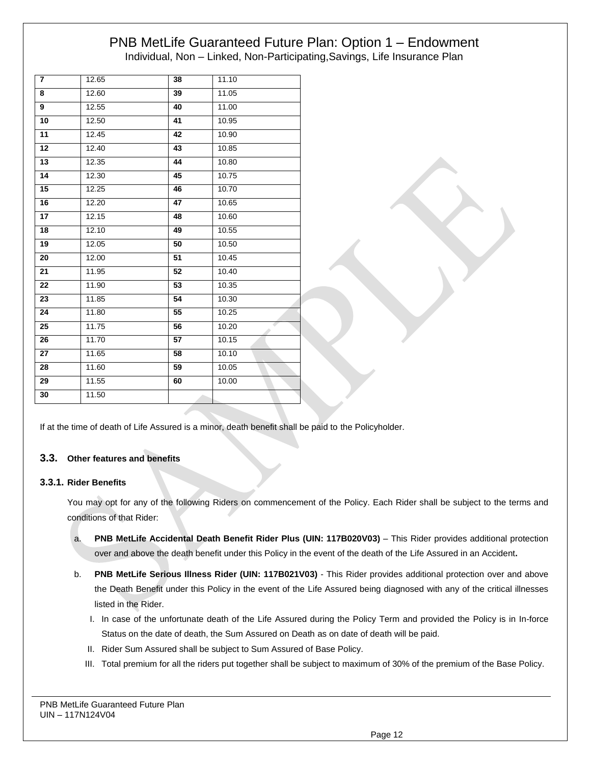| $\overline{7}$ | 12.65 | 38 | 11.10 |
|----------------|-------|----|-------|
| 8              | 12.60 | 39 | 11.05 |
| 9              | 12.55 | 40 | 11.00 |
| 10             | 12.50 | 41 | 10.95 |
| 11             | 12.45 | 42 | 10.90 |
| 12             | 12.40 | 43 | 10.85 |
| 13             | 12.35 | 44 | 10.80 |
| 14             | 12.30 | 45 | 10.75 |
| 15             | 12.25 | 46 | 10.70 |
| 16             | 12.20 | 47 | 10.65 |
| 17             | 12.15 | 48 | 10.60 |
| 18             | 12.10 | 49 | 10.55 |
| 19             | 12.05 | 50 | 10.50 |
| 20             | 12.00 | 51 | 10.45 |
| 21             | 11.95 | 52 | 10.40 |
| 22             | 11.90 | 53 | 10.35 |
| 23             | 11.85 | 54 | 10.30 |
| 24             | 11.80 | 55 | 10.25 |
| 25             | 11.75 | 56 | 10.20 |
| 26             | 11.70 | 57 | 10.15 |
| 27             | 11.65 | 58 | 10.10 |
| 28             | 11.60 | 59 | 10.05 |
| 29             | 11.55 | 60 | 10.00 |
| 30             | 11.50 |    |       |
|                |       |    |       |

If at the time of death of Life Assured is a minor, death benefit shall be paid to the Policyholder.

# **3.3. Other features and benefits**

# **3.3.1. Rider Benefits**

You may opt for any of the following Riders on commencement of the Policy. Each Rider shall be subject to the terms and conditions of that Rider:

- a. **PNB MetLife Accidental Death Benefit Rider Plus (UIN: 117B020V03)** This Rider provides additional protection over and above the death benefit under this Policy in the event of the death of the Life Assured in an Accident**.**
- b. **PNB MetLife Serious Illness Rider (UIN: 117B021V03)** This Rider provides additional protection over and above the Death Benefit under this Policy in the event of the Life Assured being diagnosed with any of the critical illnesses listed in the Rider.
	- I. In case of the unfortunate death of the Life Assured during the Policy Term and provided the Policy is in In-force Status on the date of death, the Sum Assured on Death as on date of death will be paid.
	- II. Rider Sum Assured shall be subject to Sum Assured of Base Policy.
	- III. Total premium for all the riders put together shall be subject to maximum of 30% of the premium of the Base Policy.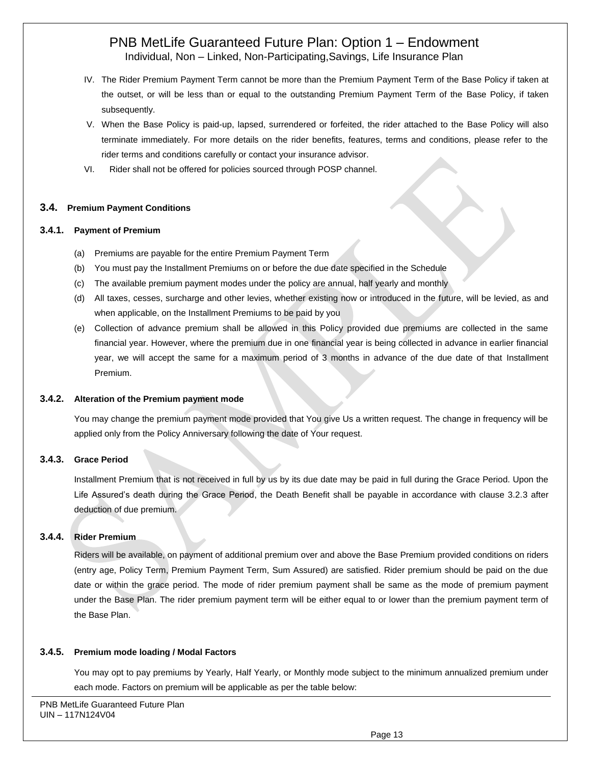- IV. The Rider Premium Payment Term cannot be more than the Premium Payment Term of the Base Policy if taken at the outset, or will be less than or equal to the outstanding Premium Payment Term of the Base Policy, if taken subsequently.
- V. When the Base Policy is paid-up, lapsed, surrendered or forfeited, the rider attached to the Base Policy will also terminate immediately. For more details on the rider benefits, features, terms and conditions, please refer to the rider terms and conditions carefully or contact your insurance advisor.
- VI. Rider shall not be offered for policies sourced through POSP channel.

# **3.4. Premium Payment Conditions**

## **3.4.1. Payment of Premium**

- (a) Premiums are payable for the entire Premium Payment Term
- (b) You must pay the Installment Premiums on or before the due date specified in the Schedule
- (c) The available premium payment modes under the policy are annual, half yearly and monthly
- (d) All taxes, cesses, surcharge and other levies, whether existing now or introduced in the future, will be levied, as and when applicable, on the Installment Premiums to be paid by you
- (e) Collection of advance premium shall be allowed in this Policy provided due premiums are collected in the same financial year. However, where the premium due in one financial year is being collected in advance in earlier financial year, we will accept the same for a maximum period of 3 months in advance of the due date of that Installment Premium.

## **3.4.2. Alteration of the Premium payment mode**

You may change the premium payment mode provided that You give Us a written request. The change in frequency will be applied only from the Policy Anniversary following the date of Your request.

# **3.4.3. Grace Period**

Installment Premium that is not received in full by us by its due date may be paid in full during the Grace Period. Upon the Life Assured's death during the Grace Period, the Death Benefit shall be payable in accordance with clause 3.2.3 after deduction of due premium.

# **3.4.4. Rider Premium**

Riders will be available, on payment of additional premium over and above the Base Premium provided conditions on riders (entry age, Policy Term, Premium Payment Term, Sum Assured) are satisfied. Rider premium should be paid on the due date or within the grace period. The mode of rider premium payment shall be same as the mode of premium payment under the Base Plan. The rider premium payment term will be either equal to or lower than the premium payment term of the Base Plan.

## **3.4.5. Premium mode loading / Modal Factors**

You may opt to pay premiums by Yearly, Half Yearly, or Monthly mode subject to the minimum annualized premium under each mode. Factors on premium will be applicable as per the table below: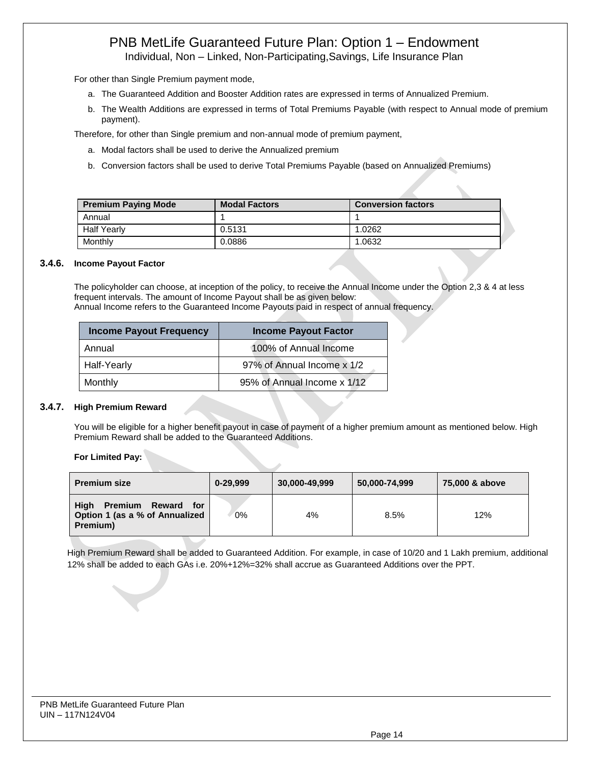Individual, Non – Linked, Non-Participating,Savings, Life Insurance Plan

For other than Single Premium payment mode,

- a. The Guaranteed Addition and Booster Addition rates are expressed in terms of Annualized Premium.
- b. The Wealth Additions are expressed in terms of Total Premiums Payable (with respect to Annual mode of premium payment).

Therefore, for other than Single premium and non-annual mode of premium payment,

- a. Modal factors shall be used to derive the Annualized premium
- b. Conversion factors shall be used to derive Total Premiums Payable (based on Annualized Premiums)

| <b>Premium Paying Mode</b> | <b>Modal Factors</b> | <b>Conversion factors</b> |
|----------------------------|----------------------|---------------------------|
| Annual                     |                      |                           |
| <b>Half Yearly</b>         | 0.5131               | 1.0262                    |
| Monthly                    | 0.0886               | 1.0632                    |

#### **3.4.6. Income Payout Factor**

The policyholder can choose, at inception of the policy, to receive the Annual Income under the Option 2,3 & 4 at less frequent intervals. The amount of Income Payout shall be as given below: Annual Income refers to the Guaranteed Income Payouts paid in respect of annual frequency.

| Income Payout Frequency | <b>Income Payout Factor</b> |
|-------------------------|-----------------------------|
| Annual                  | 100% of Annual Income       |
| Half-Yearly             | 97% of Annual Income x 1/2  |
| Monthly                 | 95% of Annual Income x 1/12 |

## **3.4.7. High Premium Reward**

You will be eligible for a higher benefit payout in case of payment of a higher premium amount as mentioned below. High Premium Reward shall be added to the Guaranteed Additions.

**For Limited Pay:**

| <b>Premium size</b>                                                                   | 0-29.999 | 30,000-49,999 | 50,000-74,999 | 75,000 & above |
|---------------------------------------------------------------------------------------|----------|---------------|---------------|----------------|
| High<br><b>Premium</b><br>Reward<br>for<br>Option 1 (as a % of Annualized<br>Premium) | 0%       | 4%            | 8.5%          | 12%            |

High Premium Reward shall be added to Guaranteed Addition. For example, in case of 10/20 and 1 Lakh premium, additional 12% shall be added to each GAs i.e. 20%+12%=32% shall accrue as Guaranteed Additions over the PPT.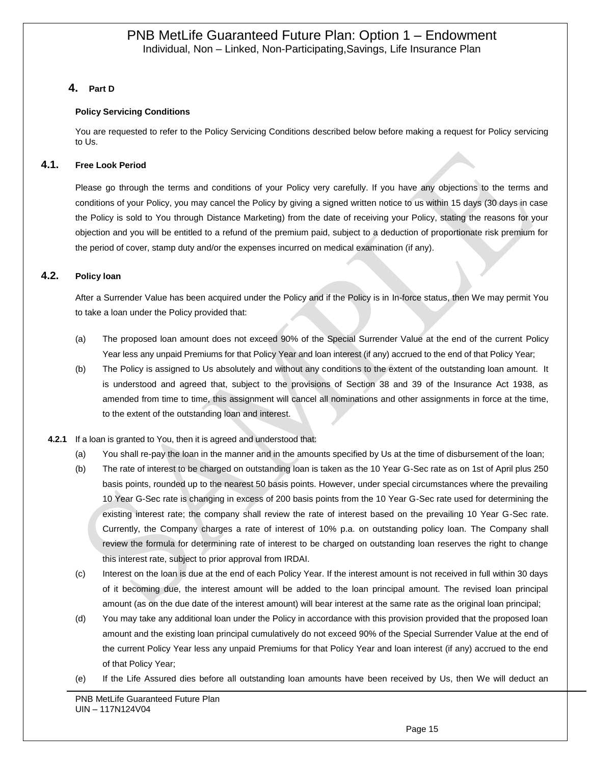# **4. Part D**

## **Policy Servicing Conditions**

You are requested to refer to the Policy Servicing Conditions described below before making a request for Policy servicing to Us.

# **4.1. Free Look Period**

Please go through the terms and conditions of your Policy very carefully. If you have any objections to the terms and conditions of your Policy, you may cancel the Policy by giving a signed written notice to us within 15 days (30 days in case the Policy is sold to You through Distance Marketing) from the date of receiving your Policy, stating the reasons for your objection and you will be entitled to a refund of the premium paid, subject to a deduction of proportionate risk premium for the period of cover, stamp duty and/or the expenses incurred on medical examination (if any).

# **4.2. Policy loan**

After a Surrender Value has been acquired under the Policy and if the Policy is in In-force status, then We may permit You to take a loan under the Policy provided that:

- (a) The proposed loan amount does not exceed 90% of the Special Surrender Value at the end of the current Policy Year less any unpaid Premiums for that Policy Year and loan interest (if any) accrued to the end of that Policy Year;
- (b) The Policy is assigned to Us absolutely and without any conditions to the extent of the outstanding loan amount. It is understood and agreed that, subject to the provisions of Section 38 and 39 of the Insurance Act 1938, as amended from time to time, this assignment will cancel all nominations and other assignments in force at the time, to the extent of the outstanding loan and interest.

#### **4.2.1** If a loan is granted to You, then it is agreed and understood that:

- (a) You shall re-pay the loan in the manner and in the amounts specified by Us at the time of disbursement of the loan;
- (b) The rate of interest to be charged on outstanding loan is taken as the 10 Year G-Sec rate as on 1st of April plus 250 basis points, rounded up to the nearest 50 basis points. However, under special circumstances where the prevailing 10 Year G-Sec rate is changing in excess of 200 basis points from the 10 Year G-Sec rate used for determining the existing interest rate; the company shall review the rate of interest based on the prevailing 10 Year G-Sec rate. Currently, the Company charges a rate of interest of 10% p.a. on outstanding policy loan. The Company shall review the formula for determining rate of interest to be charged on outstanding loan reserves the right to change this interest rate, subject to prior approval from IRDAI.
- (c) Interest on the loan is due at the end of each Policy Year. If the interest amount is not received in full within 30 days of it becoming due, the interest amount will be added to the loan principal amount. The revised loan principal amount (as on the due date of the interest amount) will bear interest at the same rate as the original loan principal;
- (d) You may take any additional loan under the Policy in accordance with this provision provided that the proposed loan amount and the existing loan principal cumulatively do not exceed 90% of the Special Surrender Value at the end of the current Policy Year less any unpaid Premiums for that Policy Year and loan interest (if any) accrued to the end of that Policy Year;
- (e) If the Life Assured dies before all outstanding loan amounts have been received by Us, then We will deduct an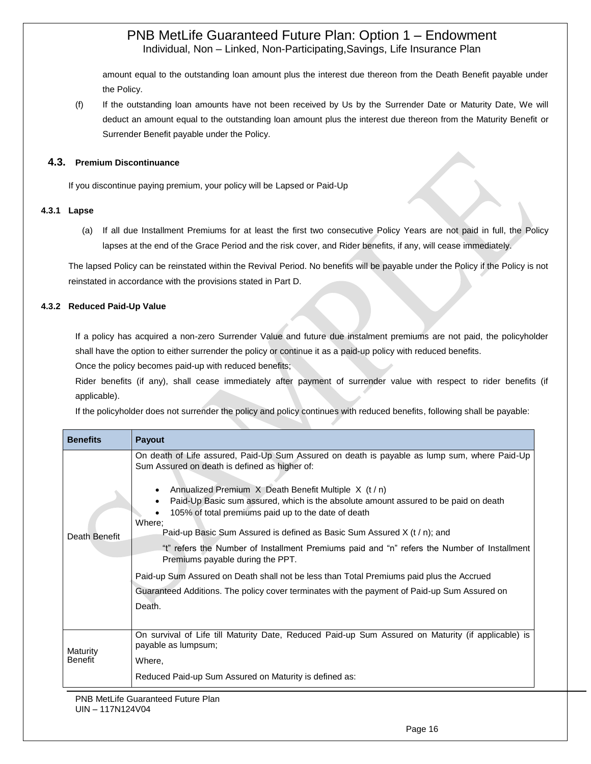amount equal to the outstanding loan amount plus the interest due thereon from the Death Benefit payable under the Policy.

(f) If the outstanding loan amounts have not been received by Us by the Surrender Date or Maturity Date, We will deduct an amount equal to the outstanding loan amount plus the interest due thereon from the Maturity Benefit or Surrender Benefit payable under the Policy.

## **4.3. Premium Discontinuance**

If you discontinue paying premium, your policy will be Lapsed or Paid-Up

## **4.3.1 Lapse**

(a) If all due Installment Premiums for at least the first two consecutive Policy Years are not paid in full, the Policy lapses at the end of the Grace Period and the risk cover, and Rider benefits, if any, will cease immediately.

The lapsed Policy can be reinstated within the Revival Period. No benefits will be payable under the Policy if the Policy is not reinstated in accordance with the provisions stated in Part D.

## **4.3.2 Reduced Paid-Up Value**

If a policy has acquired a non-zero Surrender Value and future due instalment premiums are not paid, the policyholder shall have the option to either surrender the policy or continue it as a paid-up policy with reduced benefits.

Once the policy becomes paid-up with reduced benefits;

Rider benefits (if any), shall cease immediately after payment of surrender value with respect to rider benefits (if applicable).

If the policyholder does not surrender the policy and policy continues with reduced benefits, following shall be payable:

| <b>Benefits</b>            | Payout                                                                                                                                                                                                                                                                                                                                                                                                                                                                                                                                                                                                                                                                                                                                                                                  |
|----------------------------|-----------------------------------------------------------------------------------------------------------------------------------------------------------------------------------------------------------------------------------------------------------------------------------------------------------------------------------------------------------------------------------------------------------------------------------------------------------------------------------------------------------------------------------------------------------------------------------------------------------------------------------------------------------------------------------------------------------------------------------------------------------------------------------------|
| Death Benefit              | On death of Life assured, Paid-Up Sum Assured on death is payable as lump sum, where Paid-Up<br>Sum Assured on death is defined as higher of:<br>Annualized Premium $X$ Death Benefit Multiple $X$ (t / n)<br>Paid-Up Basic sum assured, which is the absolute amount assured to be paid on death<br>105% of total premiums paid up to the date of death<br>Where;<br>Paid-up Basic Sum Assured is defined as Basic Sum Assured X (t / n); and<br>"t" refers the Number of Installment Premiums paid and "n" refers the Number of Installment<br>Premiums payable during the PPT.<br>Paid-up Sum Assured on Death shall not be less than Total Premiums paid plus the Accrued<br>Guaranteed Additions. The policy cover terminates with the payment of Paid-up Sum Assured on<br>Death. |
| Maturity<br><b>Benefit</b> | On survival of Life till Maturity Date, Reduced Paid-up Sum Assured on Maturity (if applicable) is<br>payable as lumpsum;<br>Where,<br>Reduced Paid-up Sum Assured on Maturity is defined as:                                                                                                                                                                                                                                                                                                                                                                                                                                                                                                                                                                                           |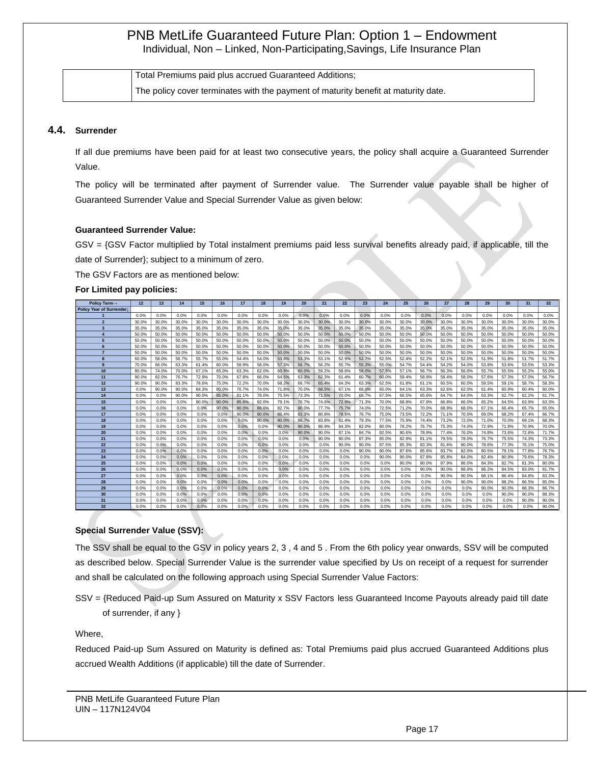| Total Premiums paid plus accrued Guaranteed Additions;                             |
|------------------------------------------------------------------------------------|
| The policy cover terminates with the payment of maturity benefit at maturity date. |

#### **4.4. Surrender**

If all due premiums have been paid for at least two consecutive years, the policy shall acquire a Guaranteed Surrender Value.

The policy will be terminated after payment of Surrender value. The Surrender value payable shall be higher of Guaranteed Surrender Value and Special Surrender Value as given below:

#### **Guaranteed Surrender Value:**

GSV = {GSV Factor multiplied by Total instalment premiums paid less survival benefits already paid, if applicable, till the date of Surrender}; subject to a minimum of zero.

The GSV Factors are as mentioned below:

#### **For Limited pay policies:**

| Policy Term-             | 12    | 13    | 14    | 15    | 16    | 17    | 18    | 19    | 20    | 21    | 22    | 23    | 24    | 25    | 26    | 27    | 28    | 29    | 30    | 31    | 32    |
|--------------------------|-------|-------|-------|-------|-------|-------|-------|-------|-------|-------|-------|-------|-------|-------|-------|-------|-------|-------|-------|-------|-------|
| Policy Year of Surrender |       |       |       |       |       |       |       |       |       |       |       |       |       |       |       |       |       |       |       |       |       |
|                          | 0.0%  | 0.0%  | 0.0%  | 0.0%  | 0.0%  | 0.0%  | 0.0%  | 0.0%  | 0.0%  | 0.0%  | 0.0%  | 0.0%  | 0.0%  | 0.0%  | 0.0%  | 0.0%  | 0.0%  | 0.0%  | 0.0%  | 0.0%  | 0.0%  |
| $\overline{2}$           | 30.0% | 30.0% | 30.0% | 30.0% | 30.0% | 30.0% | 30.0% | 30.0% | 30.0% | 30.0% | 30.0% | 30.0% | 30.0% | 30.0% | 30.0% | 30.0% | 30.0% | 30.0% | 30.0% | 30.0% | 30.0% |
| $\overline{\mathbf{3}}$  | 35.0% | 35.0% | 35.0% | 35.0% | 35.0% | 35.0% | 35.0% | 35.0% | 35.0% | 35.0% | 35.0% | 35.0% | 35.0% | 35.0% | 35.0% | 35.0% | 35.0% | 35.0% | 35.0% | 35.0% | 35.0% |
|                          | 50.0% | 50.0% | 50.0% | 50.0% | 50.0% | 50.0% | 50.0% | 50.0% | 50.0% | 50.0% | 50.0% | 50.0% | 50.0% | 50.0% | 50.0% | 50.0% | 50.0% | 50.0% | 50.0% | 50.0% | 50.0% |
| 5                        | 50.0% | 50.0% | 50.0% | 50.0% | 50.0% | 50.0% | 50.0% | 50.0% | 50.0% | 50.0% | 50.0% | 50.0% | 50.0% | 50.0% | 50.0% | 50.0% | 50.0% | 50.0% | 50.0% | 50.0% | 50.0% |
| 6                        | 50.0% | 50.0% | 50.0% | 50.0% | 50.0% | 50.0% | 50.0% | 50.0% | 50.0% | 50.0% | 50.0% | 50.0% | 50.0% | 50.0% | 50.0% | 50.0% | 50.0% | 50.0% | 50.0% | 50.0% | 50.0% |
| 7                        | 50.0% | 50.0% | 50.0% | 50.0% | 50.0% | 50.0% | 50.0% | 50.0% | 50.0% | 50.0% | 50.0% | 50.0% | 50.0% | 50.0% | 50.0% | 50.0% | 50.0% | 50.0% | 50.0% | 50.0% | 50.0% |
| 8                        | 60.0% | 58.0% | 56.7% | 55.7% | 55.0% | 54.4% | 54.0% | 53.6% | 53.3% | 53.1% | 52.9% | 52.7% | 52.5% | 52.4% | 52.2% | 52.1% | 52.0% | 51.9% | 51.8% | 51.7% | 51.7% |
| 9                        | 70.0% | 66.0% | 63.3% | 61.4% | 60.0% | 58.9% | 58.0% | 57.3% | 56.7% | 56.2% | 55.7% | 55.3% | 55.0% | 54.7% | 54.4% | 54.2% | 54.0% | 53.8% | 53.6% | 53.5% | 53.3% |
| 10                       | 80.0% | 74.0% | 70.0% | 67.1% | 65.0% | 63.3% | 62.0% | 60.9% | 60.0% | 59.2% | 58.6% | 58.0% | 57.5% | 57.1% | 56.7% | 56.3% | 56.0% | 55.7% | 55.5% | 55.2% | 55.0% |
| 11                       | 90.0% | 82.0% | 76.7% | 72.9% | 70.0% | 67.8% | 66.0% | 64.5% | 63.3% | 62.3% | 61.4% | 60.7% | 60.0% | 59.4% | 58.9% | 58.4% | 58.0% | 57.6% | 57.3% | 57.0% | 56.7% |
| 12                       | 90.0% | 90.0% | 83.3% | 78.6% | 75.0% | 72.2% | 70.0% | 68.2% | 66.7% | 65.4% | 64.3% | 63.3% | 62.5% | 61.8% | 61.1% | 60.5% | 60.0% | 59.5% | 59.1% | 58.7% | 58.3% |
| 13                       | 0.0%  | 90.0% | 90.0% | 84.3% | 80.0% | 76.7% | 74.0% | 71.8% | 70.0% | 68.5% | 67.1% | 66.0% | 65.0% | 64.1% | 63.3% | 62.6% | 62.0% | 61.4% | 60.9% | 60.4% | 60.0% |
| 14                       | 0.0%  | 0.0%  | 90.0% | 90.0% | 85.0% | 81.1% | 78.0% | 75.5% | 73.3% | 71.5% | 70.0% | 68.7% | 67.5% | 66.5% | 65.6% | 64.7% | 64.0% | 63.3% | 62.7% | 62.2% | 61.7% |
| 15                       | 0.0%  | 0.0%  | 0.0%  | 90.0% | 90.0% | 85.6% | 82.0% | 79.1% | 76.7% | 74.6% | 72.9% | 71.3% | 70.0% | 68.8% | 67.8% | 66.8% | 66.0% | 65.2% | 64.5% | 63.9% | 63.3% |
| 16                       | 0.0%  | 0.0%  | 0.0%  | 0.0%  | 90.0% | 90.0% | 86.0% | 82.7% | 80.0% | 77.7% | 75.7% | 74.0% | 72.5% | 71.2% | 70.0% | 68.9% | 68.0% | 67.1% | 66.4% | 65.7% | 65.0% |
| 17                       | 0.0%  | 0.0%  | 0.0%  | 0.0%  | 0.0%  | 90.0% | 90.0% | 86.4% | 83.3% | 80.8% | 78.6% | 76.7% | 75.0% | 73.5% | 72.2% | 71.1% | 70.0% | 69.0% | 68.2% | 67.4% | 66.7% |
| 18                       | 0.0%  | 0.0%  | 0.0%  | 0.0%  | 0.0%  | 0.0%  | 90.0% | 90.0% | 86.7% | 83.8% | 81.4% | 79.3% | 77.5% | 75.9% | 74.4% | 73.2% | 72.0% | 71.0% | 70.0% | 69.1% | 68.3% |
| 19                       | 0.0%  | 0.0%  | 0.0%  | 0.0%  | 0.0%  | 0.0%  | 0.0%  | 90.0% | 90.0% | 86.9% | 84.3% | 82.0% | 80.0% | 78.2% | 76.7% | 75.3% | 74.0% | 72.9% | 71.8% | 70.9% | 70.0% |
| 20                       | 0.0%  | 0.0%  | 0.0%  | 0.0%  | 0.0%  | 0.0%  | 0.0%  | 0.0%  | 90.0% | 90.0% | 87.1% | 84.7% | 82.5% | 80.6% | 78.9% | 77.4% | 76.0% | 74.8% | 73.6% | 72.6% | 71.7% |
| 21                       | 0.0%  | 0.0%  | 0.0%  | 0.0%  | 0.0%  | 0.0%  | 0.0%  | 0.0%  | 0.0%  | 90.0% | 90.0% | 87.3% | 85.0% | 82.9% | 81.1% | 79.5% | 78.0% | 76.7% | 75.5% | 74.3% | 73.3% |
| 22                       | 0.0%  | 0.0%  | 0.0%  | 0.0%  | 0.0%  | 0.0%  | 0.0%  | 0.0%  | 0.0%  | 0.0%  | 90.0% | 90.0% | 87.5% | 85.3% | 83.3% | 81.6% | 80.0% | 78.6% | 77.3% | 76.1% | 75.0% |
| 23                       | 0.0%  | 0.0%  | 0.0%  | 0.0%  | 0.0%  | 0.0%  | 0.0%  | 0.0%  | 0.0%  | 0.0%  | 0.0%  | 90.0% | 90.0% | 87.6% | 85.6% | 83.7% | 82.0% | 80.5% | 79.1% | 77.8% | 76.7% |
| 24                       | 0.0%  | 0.0%  | 0.0%  | 0.0%  | 0.0%  | 0.0%  | 0.0%  | 0.0%  | 0.0%  | 0.0%  | 0.0%  | 0.0%  | 90.0% | 90.0% | 87.8% | 85.8% | 84.0% | 82.4% | 80.9% | 79.6% | 78.3% |
| 25                       | 0.0%  | 0.0%  | 0.0%  | 0.0%  | 0.0%  | 0.0%  | 0.0%  | 0.0%  | 0.0%  | 0.0%  | 0.0%  | 0.0%  | 0.0%  | 90.0% | 90.0% | 87.9% | 86.0% | 84.3% | 82.7% | 81.3% | 80.0% |
| 26                       | 0.0%  | 0.0%  | 0.0%  | 0.0%  | 0.0%  | 0.0%  | 0.0%  | 0.0%  | 0.0%  | 0.0%  | 0.0%  | 0.0%  | 0.0%  | 0.0%  | 90.0% | 90.0% | 88.0% | 86.2% | 84.5% | 83.0% | 81.7% |
| 27                       | 0.0%  | 0.0%  | 0.0%  | 0.0%  | 0.0%  | 0.0%  | 0.0%  | 0.0%  | 0.0%  | 0.0%  | 0.0%  | 0.0%  | 0.0%  | 0.0%  | 0.0%  | 90.0% | 90.0% | 88.1% | 86.4% | 84.8% | 83.3% |
| 28                       | 0.0%  | 0.0%  | 0.0%  | 0.0%  | 0.0%  | 0.0%  | 0.0%  | 0.0%  | 0.0%  | 0.0%  | 0.0%  | 0.0%  | 0.0%  | 0.0%  | 0.0%  | 0.0%  | 90.0% | 90.0% | 88.2% | 86.5% | 85.0% |
| 29                       | 0.0%  | 0.0%  | 0.0%  | 0.0%  | 0.0%  | 0.0%  | 0.0%  | 0.0%  | 0.0%  | 0.0%  | 0.0%  | 0.0%  | 0.0%  | 0.0%  | 0.0%  | 0.0%  | 0.0%  | 90.0% | 90.0% | 88.3% | 86.7% |
| 30                       | 0.0%  | 0.0%  | 0.0%  | 0.0%  | 0.0%  | 0.0%  | 0.0%  | 0.0%  | 0.0%  | 0.0%  | 0.0%  | 0.0%  | 0.0%  | 0.0%  | 0.0%  | 0.0%  | 0.0%  | 0.0%  | 90.0% | 90.0% | 88.3% |
| 31                       | 0.0%  | 0.0%  | 0.0%  | 0.0%  | 0.0%  | 0.0%  | 0.0%  | 0.0%  | 0.0%  | 0.0%  | 0.0%  | 0.0%  | 0.0%  | 0.0%  | 0.0%  | 0.0%  | 0.0%  | 0.0%  | 0.0%  | 90.0% | 90.0% |
| 32                       | 0.0%  | 0.0%  | 0.0%  | 0.0%  | 0.0%  | 0.0%  | 0.0%  | 0.0%  | 0.0%  | 0.0%  | 0.0%  | 0.0%  | 0.0%  | 0.0%  | 0.0%  | 0.0%  | 0.0%  | 0.0%  | 0.0%  | 0.0%  | 90.0% |

# **Special Surrender Value (SSV):**

The SSV shall be equal to the GSV in policy years 2, 3 , 4 and 5 . From the 6th policy year onwards, SSV will be computed as described below. Special Surrender Value is the surrender value specified by Us on receipt of a request for surrender and shall be calculated on the following approach using Special Surrender Value Factors:

SSV = {Reduced Paid-up Sum Assured on Maturity x SSV Factors less Guaranteed Income Payouts already paid till date of surrender, if any }

Where,

Reduced Paid-up Sum Assured on Maturity is defined as: Total Premiums paid plus accrued Guaranteed Additions plus accrued Wealth Additions (if applicable) till the date of Surrender.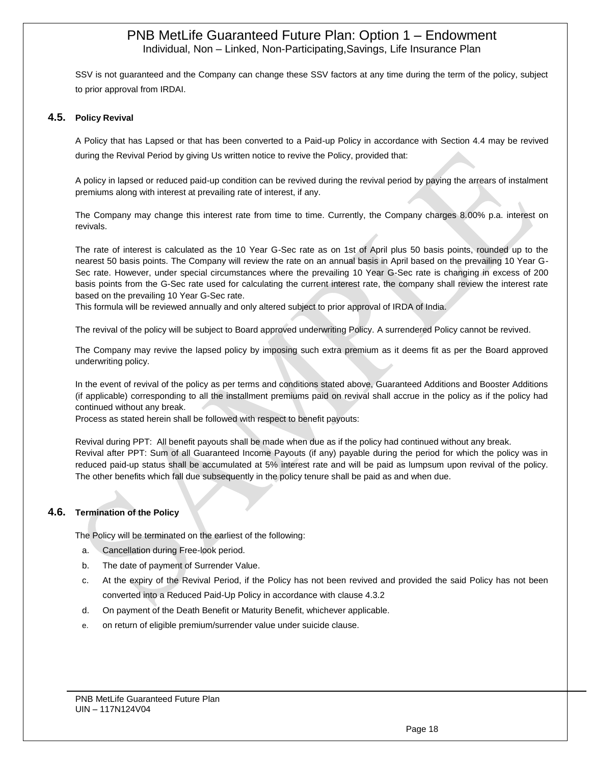SSV is not guaranteed and the Company can change these SSV factors at any time during the term of the policy, subject to prior approval from IRDAI.

## **4.5. Policy Revival**

A Policy that has Lapsed or that has been converted to a Paid-up Policy in accordance with Section 4.4 may be revived during the Revival Period by giving Us written notice to revive the Policy, provided that:

A policy in lapsed or reduced paid-up condition can be revived during the revival period by paying the arrears of instalment premiums along with interest at prevailing rate of interest, if any.

The Company may change this interest rate from time to time. Currently, the Company charges 8.00% p.a. interest on revivals.

The rate of interest is calculated as the 10 Year G-Sec rate as on 1st of April plus 50 basis points, rounded up to the nearest 50 basis points. The Company will review the rate on an annual basis in April based on the prevailing 10 Year G-Sec rate. However, under special circumstances where the prevailing 10 Year G-Sec rate is changing in excess of 200 basis points from the G-Sec rate used for calculating the current interest rate, the company shall review the interest rate based on the prevailing 10 Year G-Sec rate.

This formula will be reviewed annually and only altered subject to prior approval of IRDA of India.

The revival of the policy will be subject to Board approved underwriting Policy. A surrendered Policy cannot be revived.

The Company may revive the lapsed policy by imposing such extra premium as it deems fit as per the Board approved underwriting policy.

In the event of revival of the policy as per terms and conditions stated above, Guaranteed Additions and Booster Additions (if applicable) corresponding to all the installment premiums paid on revival shall accrue in the policy as if the policy had continued without any break.

Process as stated herein shall be followed with respect to benefit payouts:

Revival during PPT: All benefit payouts shall be made when due as if the policy had continued without any break. Revival after PPT: Sum of all Guaranteed Income Payouts (if any) payable during the period for which the policy was in reduced paid-up status shall be accumulated at 5% interest rate and will be paid as lumpsum upon revival of the policy. The other benefits which fall due subsequently in the policy tenure shall be paid as and when due.

# **4.6. Termination of the Policy**

The Policy will be terminated on the earliest of the following:

- a. Cancellation during Free-look period.
- b. The date of payment of Surrender Value.
- c. At the expiry of the Revival Period, if the Policy has not been revived and provided the said Policy has not been converted into a Reduced Paid-Up Policy in accordance with clause 4.3.2
- d. On payment of the Death Benefit or Maturity Benefit, whichever applicable.
- e. on return of eligible premium/surrender value under suicide clause.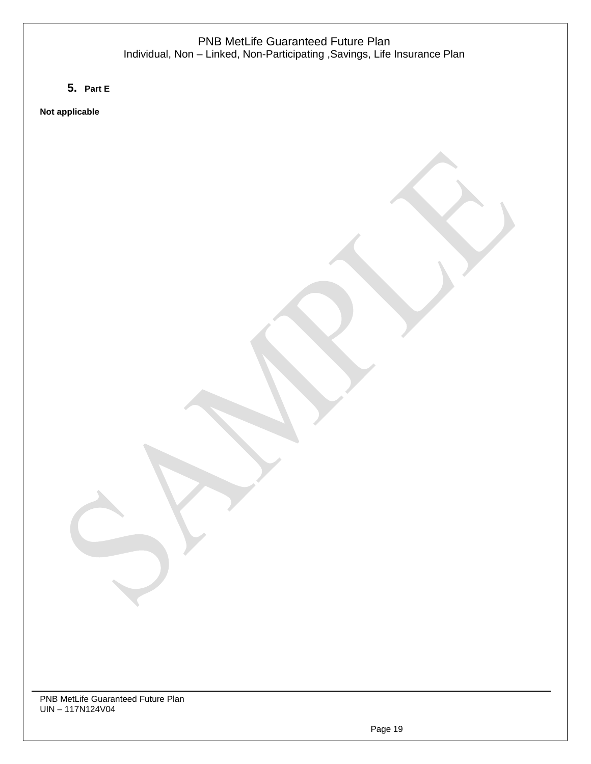# PNB MetLife Guaranteed Future Plan Individual, Non – Linked, Non-Participating ,Savings, Life Insurance Plan

# **5. Part E**

**Not applicable**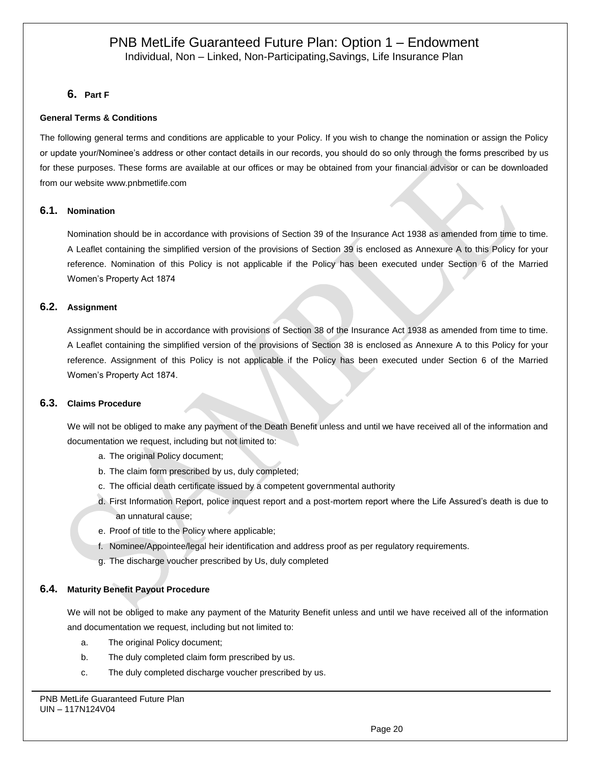# **6. Part F**

# **General Terms & Conditions**

The following general terms and conditions are applicable to your Policy. If you wish to change the nomination or assign the Policy or update your/Nominee's address or other contact details in our records, you should do so only through the forms prescribed by us for these purposes. These forms are available at our offices or may be obtained from your financial advisor or can be downloaded from our website [www.pnbmetlife.com](http://www.pnbmetlife.com/)

# **6.1. Nomination**

Nomination should be in accordance with provisions of Section 39 of the Insurance Act 1938 as amended from time to time. A Leaflet containing the simplified version of the provisions of Section 39 is enclosed as Annexure A to this Policy for your reference. Nomination of this Policy is not applicable if the Policy has been executed under Section 6 of the Married Women's Property Act 1874

# **6.2. Assignment**

Assignment should be in accordance with provisions of Section 38 of the Insurance Act 1938 as amended from time to time. A Leaflet containing the simplified version of the provisions of Section 38 is enclosed as Annexure A to this Policy for your reference. Assignment of this Policy is not applicable if the Policy has been executed under Section 6 of the Married Women's Property Act 1874.

# **6.3. Claims Procedure**

We will not be obliged to make any payment of the Death Benefit unless and until we have received all of the information and documentation we request, including but not limited to:

- a. The original Policy document;
- b. The claim form prescribed by us, duly completed;
- c. The official death certificate issued by a competent governmental authority
- d. First Information Report, police inquest report and a post-mortem report where the Life Assured's death is due to an unnatural cause;
- e. Proof of title to the Policy where applicable;
- f. Nominee/Appointee/legal heir identification and address proof as per regulatory requirements.
- g. The discharge voucher prescribed by Us, duly completed

## **6.4. Maturity Benefit Payout Procedure**

We will not be obliged to make any payment of the Maturity Benefit unless and until we have received all of the information and documentation we request, including but not limited to:

- a. The original Policy document;
- b. The duly completed claim form prescribed by us.
- c. The duly completed discharge voucher prescribed by us.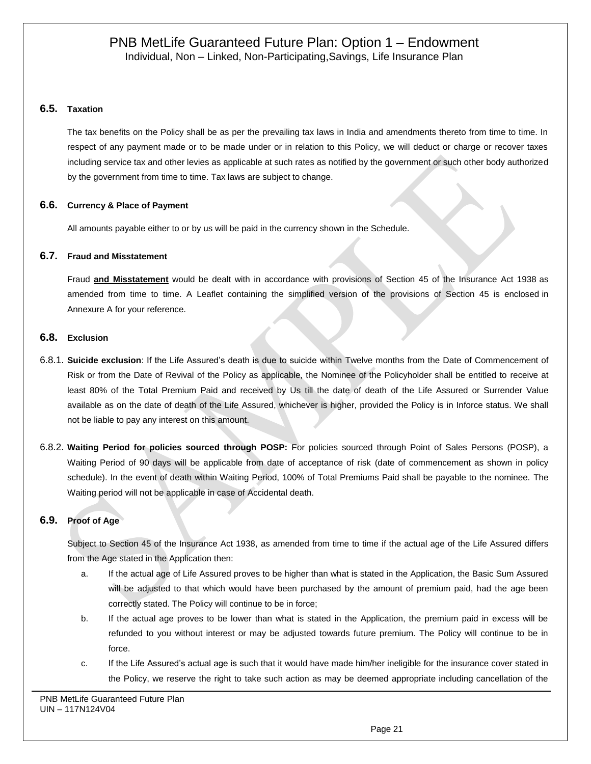# **6.5. Taxation**

The tax benefits on the Policy shall be as per the prevailing tax laws in India and amendments thereto from time to time. In respect of any payment made or to be made under or in relation to this Policy, we will deduct or charge or recover taxes including service tax and other levies as applicable at such rates as notified by the government or such other body authorized by the government from time to time. Tax laws are subject to change.

# **6.6. Currency & Place of Payment**

All amounts payable either to or by us will be paid in the currency shown in the Schedule.

# **6.7. Fraud and Misstatement**

Fraud **and Misstatement** would be dealt with in accordance with provisions of Section 45 of the Insurance Act 1938 as amended from time to time. A Leaflet containing the simplified version of the provisions of Section 45 is enclosed in Annexure A for your reference.

# **6.8. Exclusion**

- 6.8.1. **Suicide exclusion**: If the Life Assured's death is due to suicide within Twelve months from the Date of Commencement of Risk or from the Date of Revival of the Policy as applicable, the Nominee of the Policyholder shall be entitled to receive at least 80% of the Total Premium Paid and received by Us till the date of death of the Life Assured or Surrender Value available as on the date of death of the Life Assured, whichever is higher, provided the Policy is in Inforce status. We shall not be liable to pay any interest on this amount.
- 6.8.2. **Waiting Period for policies sourced through POSP:** For policies sourced through Point of Sales Persons (POSP), a Waiting Period of 90 days will be applicable from date of acceptance of risk (date of commencement as shown in policy schedule). In the event of death within Waiting Period, 100% of Total Premiums Paid shall be payable to the nominee. The Waiting period will not be applicable in case of Accidental death.

# **6.9. Proof of Age**

Subject to Section 45 of the Insurance Act 1938, as amended from time to time if the actual age of the Life Assured differs from the Age stated in the Application then:

- a. If the actual age of Life Assured proves to be higher than what is stated in the Application, the Basic Sum Assured will be adjusted to that which would have been purchased by the amount of premium paid, had the age been correctly stated. The Policy will continue to be in force;
- b. If the actual age proves to be lower than what is stated in the Application, the premium paid in excess will be refunded to you without interest or may be adjusted towards future premium. The Policy will continue to be in force.
- c. If the Life Assured's actual age is such that it would have made him/her ineligible for the insurance cover stated in the Policy, we reserve the right to take such action as may be deemed appropriate including cancellation of the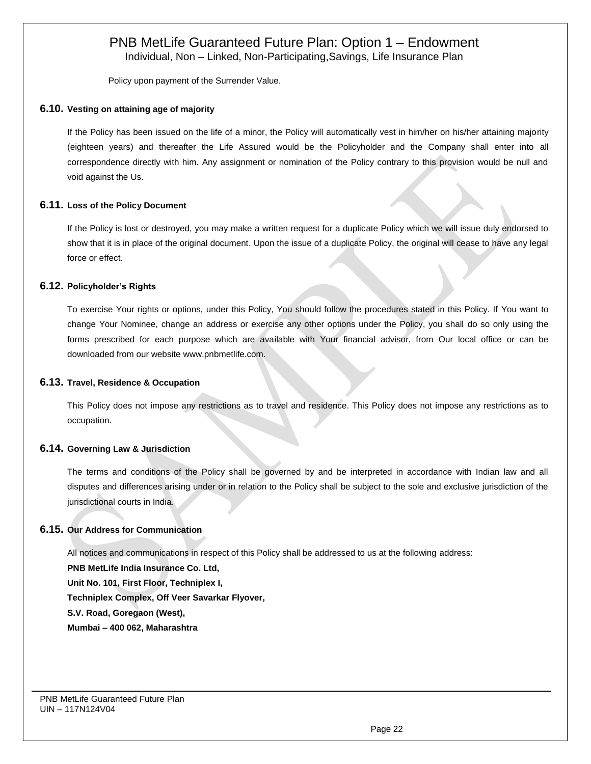Individual, Non – Linked, Non-Participating,Savings, Life Insurance Plan

Policy upon payment of the Surrender Value.

# **6.10. Vesting on attaining age of majority**

If the Policy has been issued on the life of a minor, the Policy will automatically vest in him/her on his/her attaining majority (eighteen years) and thereafter the Life Assured would be the Policyholder and the Company shall enter into all correspondence directly with him. Any assignment or nomination of the Policy contrary to this provision would be null and void against the Us.

# **6.11. Loss of the Policy Document**

If the Policy is lost or destroyed, you may make a written request for a duplicate Policy which we will issue duly endorsed to show that it is in place of the original document. Upon the issue of a duplicate Policy, the original will cease to have any legal force or effect.

# **6.12. Policyholder's Rights**

To exercise Your rights or options, under this Policy, You should follow the procedures stated in this Policy. If You want to change Your Nominee, change an address or exercise any other options under the Policy, you shall do so only using the forms prescribed for each purpose which are available with Your financial advisor, from Our local office or can be downloaded from our website [www.pnbmetlife.com.](http://www.pnbmetlife.com/)

## **6.13. Travel, Residence & Occupation**

This Policy does not impose any restrictions as to travel and residence. This Policy does not impose any restrictions as to occupation.

## **6.14. Governing Law & Jurisdiction**

The terms and conditions of the Policy shall be governed by and be interpreted in accordance with Indian law and all disputes and differences arising under or in relation to the Policy shall be subject to the sole and exclusive jurisdiction of the jurisdictional courts in India.

# **6.15. Our Address for Communication**

All notices and communications in respect of this Policy shall be addressed to us at the following address:

**PNB MetLife India Insurance Co. Ltd, Unit No. 101, First Floor, Techniplex I, Techniplex Complex, Off Veer Savarkar Flyover, S.V. Road, Goregaon (West), Mumbai – 400 062, Maharashtra**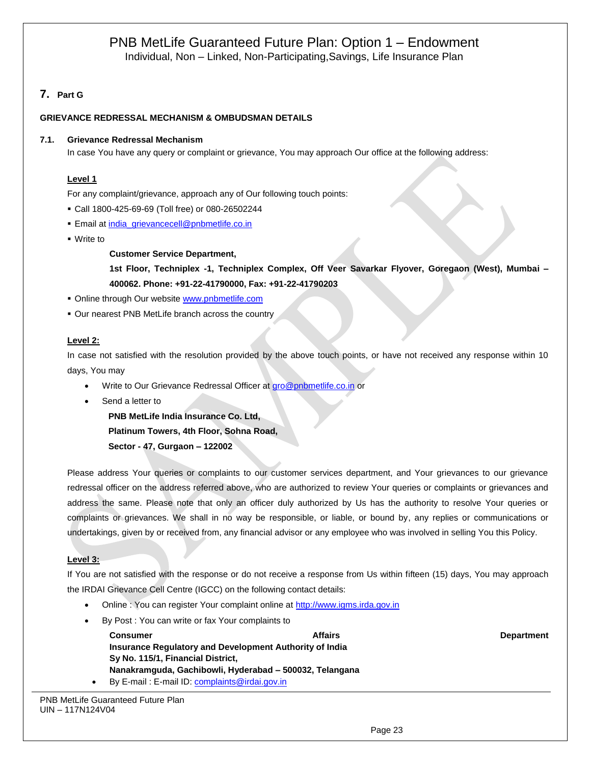# **7. Part G**

# **GRIEVANCE REDRESSAL MECHANISM & OMBUDSMAN DETAILS**

## **7.1. Grievance Redressal Mechanism**

In case You have any query or complaint or grievance, You may approach Our office at the following address:

## **Level 1**

For any complaint/grievance, approach any of Our following touch points:

- Call 1800-425-69-69 (Toll free) or 080-26502244
- **Email a[t india\\_grievancecell@pnbmetlife.co.in](mailto:india_grievancecell@pnbmetlife.co.in)**
- Write to

## **Customer Service Department,**

**1st Floor, Techniplex -1, Techniplex Complex, Off Veer Savarkar Flyover, Goregaon (West), Mumbai – 400062. Phone: +91-22-41790000, Fax: +91-22-41790203**

- **Online through Our website [www.pnbmetlife.com](http://www.pnbmetlife.com/)**
- **Our nearest PNB MetLife branch across the country**

# **Level 2:**

In case not satisfied with the resolution provided by the above touch points, or have not received any response within 10 days, You may

- Write to Our Grievance Redressal Officer at [gro@pnbmetlife.co.in](mailto:gro@pnbmetlife.co.in) or
- Send a letter to

**PNB MetLife India Insurance Co. Ltd, Platinum Towers, 4th Floor, Sohna Road, Sector - 47, Gurgaon – 122002**

Please address Your queries or complaints to our customer services department, and Your grievances to our grievance redressal officer on the address referred above, who are authorized to review Your queries or complaints or grievances and address the same. Please note that only an officer duly authorized by Us has the authority to resolve Your queries or complaints or grievances. We shall in no way be responsible, or liable, or bound by, any replies or communications or undertakings, given by or received from, any financial advisor or any employee who was involved in selling You this Policy.

# **Level 3:**

If You are not satisfied with the response or do not receive a response from Us within fifteen (15) days, You may approach the IRDAI Grievance Cell Centre (IGCC) on the following contact details:

- Online : You can register Your complaint online at [http://www.igms.irda.gov.in](http://www.igms.irda.gov.in/)
- By Post : You can write or fax Your complaints to

|           | <b>Consumer</b>                                         | <b>Affairs</b> |
|-----------|---------------------------------------------------------|----------------|
|           | Insurance Regulatory and Development Authority of India |                |
|           | Sy No. 115/1, Financial District,                       |                |
|           | Nanakramguda, Gachibowli, Hyderabad – 500032, Telangana |                |
| $\bullet$ | By E-mail: E-mail ID: complaints@irdai.gov.in           |                |

**Department**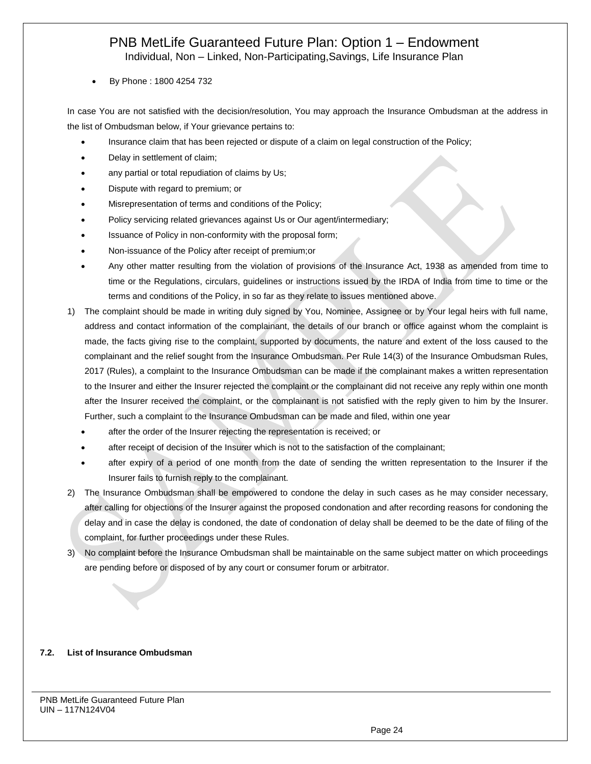Individual, Non – Linked, Non-Participating,Savings, Life Insurance Plan

• By Phone : 1800 4254 732

In case You are not satisfied with the decision/resolution, You may approach the Insurance Ombudsman at the address in the list of Ombudsman below, if Your grievance pertains to:

- Insurance claim that has been rejected or dispute of a claim on legal construction of the Policy;
- Delay in settlement of claim;
- any partial or total repudiation of claims by Us;
- Dispute with regard to premium; or
- Misrepresentation of terms and conditions of the Policy;
- Policy servicing related grievances against Us or Our agent/intermediary;
- Issuance of Policy in non-conformity with the proposal form;
- Non-issuance of the Policy after receipt of premium;or
- Any other matter resulting from the violation of provisions of the Insurance Act, 1938 as amended from time to time or the Regulations, circulars, guidelines or instructions issued by the IRDA of India from time to time or the terms and conditions of the Policy, in so far as they relate to issues mentioned above.
- 1) The complaint should be made in writing duly signed by You, Nominee, Assignee or by Your legal heirs with full name, address and contact information of the complainant, the details of our branch or office against whom the complaint is made, the facts giving rise to the complaint, supported by documents, the nature and extent of the loss caused to the complainant and the relief sought from the Insurance Ombudsman. Per Rule 14(3) of the Insurance Ombudsman Rules, 2017 (Rules), a complaint to the Insurance Ombudsman can be made if the complainant makes a written representation to the Insurer and either the Insurer rejected the complaint or the complainant did not receive any reply within one month after the Insurer received the complaint, or the complainant is not satisfied with the reply given to him by the Insurer. Further, such a complaint to the Insurance Ombudsman can be made and filed, within one year
	- after the order of the Insurer rejecting the representation is received; or
	- after receipt of decision of the Insurer which is not to the satisfaction of the complainant;
	- after expiry of a period of one month from the date of sending the written representation to the Insurer if the Insurer fails to furnish reply to the complainant.
- 2) The Insurance Ombudsman shall be empowered to condone the delay in such cases as he may consider necessary, after calling for objections of the Insurer against the proposed condonation and after recording reasons for condoning the delay and in case the delay is condoned, the date of condonation of delay shall be deemed to be the date of filing of the complaint, for further proceedings under these Rules.
- 3) No complaint before the Insurance Ombudsman shall be maintainable on the same subject matter on which proceedings are pending before or disposed of by any court or consumer forum or arbitrator.

## **7.2. List of Insurance Ombudsman**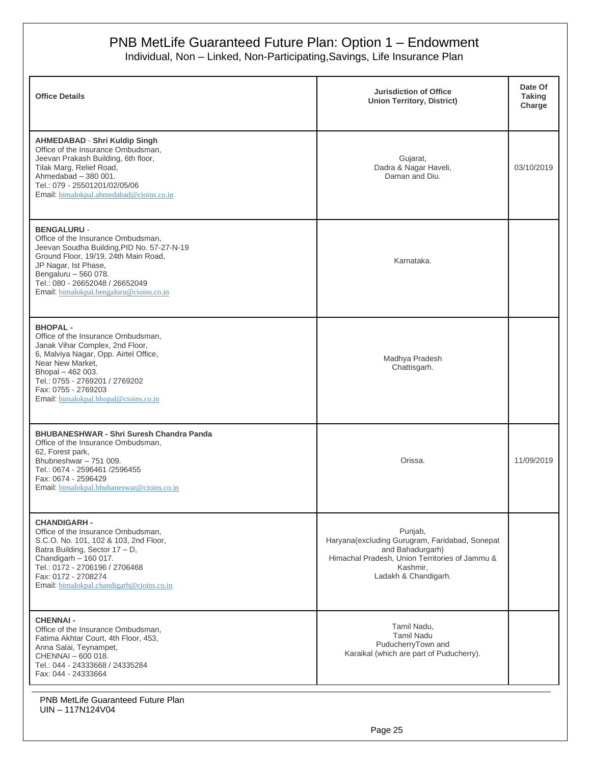Individual, Non – Linked, Non-Participating,Savings, Life Insurance Plan

| <b>Office Details</b>                                                                                                                                                                                                                                                         | <b>Jurisdiction of Office</b><br><b>Union Territory, District)</b>                                                                                                  | Date Of<br><b>Taking</b><br>Charge |
|-------------------------------------------------------------------------------------------------------------------------------------------------------------------------------------------------------------------------------------------------------------------------------|---------------------------------------------------------------------------------------------------------------------------------------------------------------------|------------------------------------|
| <b>AHMEDABAD - Shri Kuldip Singh</b><br>Office of the Insurance Ombudsman,<br>Jeevan Prakash Building, 6th floor,<br>Tilak Marg, Relief Road,<br>Ahmedabad $-380001$ .<br>Tel.: 079 - 25501201/02/05/06<br>Email: bimalokpal.ahmedabad@cioins.co.in                           | Gujarat,<br>Dadra & Nagar Haveli,<br>Daman and Diu.                                                                                                                 | 03/10/2019                         |
| <b>BENGALURU -</b><br>Office of the Insurance Ombudsman,<br>Jeevan Soudha Building, PID No. 57-27-N-19<br>Ground Floor, 19/19, 24th Main Road,<br>JP Nagar, Ist Phase,<br>Bengaluru - 560 078.<br>Tel.: 080 - 26652048 / 26652049<br>Email: bimalokpal.bengaluru@cioins.co.in | Karnataka.                                                                                                                                                          |                                    |
| <b>BHOPAL-</b><br>Office of the Insurance Ombudsman,<br>Janak Vihar Complex, 2nd Floor,<br>6, Malviya Nagar, Opp. Airtel Office,<br>Near New Market,<br>Bhopal - 462 003.<br>Tel.: 0755 - 2769201 / 2769202<br>Fax: 0755 - 2769203<br>Email: bimalokpal.bhopal@cioins.co.in   | Madhya Pradesh<br>Chattisgarh.                                                                                                                                      |                                    |
| <b>BHUBANESHWAR - Shri Suresh Chandra Panda</b><br>Office of the Insurance Ombudsman,<br>62, Forest park,<br>Bhubneshwar - 751 009.<br>Tel.: 0674 - 2596461 /2596455<br>Fax: 0674 - 2596429<br>Email: bimalokpal.bhubaneswar@cioins.co.in                                     | Orissa.                                                                                                                                                             | 11/09/2019                         |
| <b>CHANDIGARH -</b><br>Office of the Insurance Ombudsman,<br>S.C.O. No. 101, 102 & 103, 2nd Floor,<br>Batra Building, Sector 17 - D,<br>Chandigarh $-160017$ .<br>Tel.: 0172 - 2706196 / 2706468<br>Fax: 0172 - 2708274<br>Email: bimalokpal.chandigarh@cioins.co.in          | Punjab,<br>Haryana(excluding Gurugram, Faridabad, Sonepat<br>and Bahadurgarh)<br>Himachal Pradesh, Union Territories of Jammu &<br>Kashmir,<br>Ladakh & Chandigarh. |                                    |
| <b>CHENNAI-</b><br>Office of the Insurance Ombudsman,<br>Fatima Akhtar Court, 4th Floor, 453,<br>Anna Salai, Teynampet,<br>CHENNAI - 600 018.<br>Tel.: 044 - 24333668 / 24335284<br>Fax: 044 - 24333664                                                                       | Tamil Nadu,<br><b>Tamil Nadu</b><br>PuducherryTown and<br>Karaikal (which are part of Puducherry).                                                                  |                                    |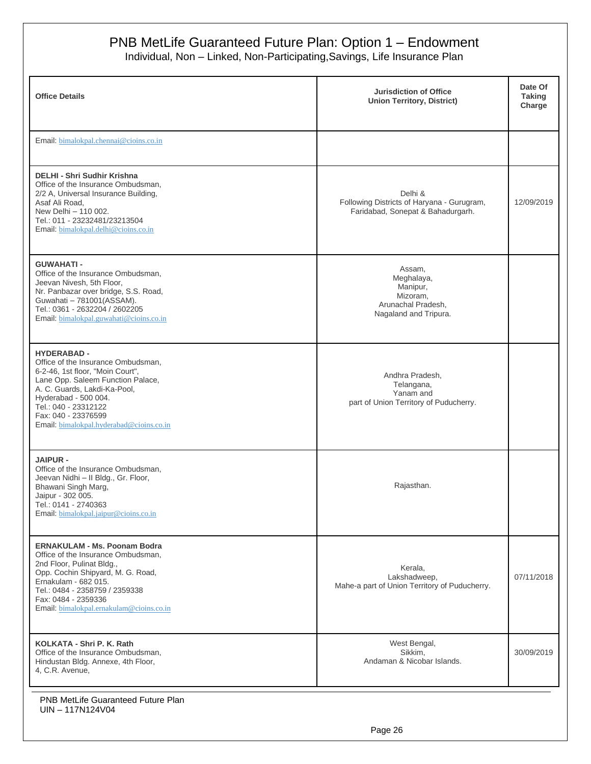Individual, Non – Linked, Non-Participating,Savings, Life Insurance Plan

| <b>Office Details</b>                                                                                                                                                                                                                                                                | <b>Jurisdiction of Office</b><br><b>Union Territory, District)</b>                          | Date Of<br><b>Taking</b><br>Charge |
|--------------------------------------------------------------------------------------------------------------------------------------------------------------------------------------------------------------------------------------------------------------------------------------|---------------------------------------------------------------------------------------------|------------------------------------|
| Email: bimalokpal.chennai@cioins.co.in                                                                                                                                                                                                                                               |                                                                                             |                                    |
| DELHI - Shri Sudhir Krishna<br>Office of the Insurance Ombudsman.<br>2/2 A, Universal Insurance Building,<br>Asaf Ali Road,<br>New Delhi - 110 002.<br>Tel.: 011 - 23232481/23213504<br>Email: bimalokpal.delhi@cioins.co.in                                                         | Delhi &<br>Following Districts of Haryana - Gurugram,<br>Faridabad, Sonepat & Bahadurgarh.  | 12/09/2019                         |
| <b>GUWAHATI-</b><br>Office of the Insurance Ombudsman,<br>Jeevan Nivesh, 5th Floor,<br>Nr. Panbazar over bridge, S.S. Road,<br>Guwahati - 781001(ASSAM).<br>Tel.: 0361 - 2632204 / 2602205<br>Email: bimalokpal.guwahati@cioins.co.in                                                | Assam,<br>Meghalaya,<br>Manipur,<br>Mizoram,<br>Arunachal Pradesh,<br>Nagaland and Tripura. |                                    |
| <b>HYDERABAD -</b><br>Office of the Insurance Ombudsman,<br>6-2-46, 1st floor, "Moin Court",<br>Lane Opp. Saleem Function Palace,<br>A. C. Guards, Lakdi-Ka-Pool,<br>Hyderabad - 500 004.<br>Tel.: 040 - 23312122<br>Fax: 040 - 23376599<br>Email: bimalokpal.hyderabad@cioins.co.in | Andhra Pradesh,<br>Telangana,<br>Yanam and<br>part of Union Territory of Puducherry.        |                                    |
| <b>JAIPUR -</b><br>Office of the Insurance Ombudsman,<br>Jeevan Nidhi - Il Bldg., Gr. Floor,<br>Bhawani Singh Marg,<br>Jaipur - 302 005.<br>Tel.: 0141 - 2740363<br>Email: bimalokpal.jaipur@cioins.co.in                                                                            | Rajasthan.                                                                                  |                                    |
| <b>ERNAKULAM - Ms. Poonam Bodra</b><br>Office of the Insurance Ombudsman,<br>2nd Floor, Pulinat Bldg.,<br>Opp. Cochin Shipyard, M. G. Road,<br>Ernakulam - 682 015.<br>Tel.: 0484 - 2358759 / 2359338<br>Fax: 0484 - 2359336<br>Email: bimalokpal.ernakulam@cioins.co.in             | Kerala,<br>Lakshadweep,<br>Mahe-a part of Union Territory of Puducherry.                    | 07/11/2018                         |
| KOLKATA - Shri P. K. Rath<br>Office of the Insurance Ombudsman,<br>Hindustan Bldg. Annexe, 4th Floor,<br>4, C.R. Avenue,                                                                                                                                                             | West Bengal,<br>Sikkim,<br>Andaman & Nicobar Islands.                                       | 30/09/2019                         |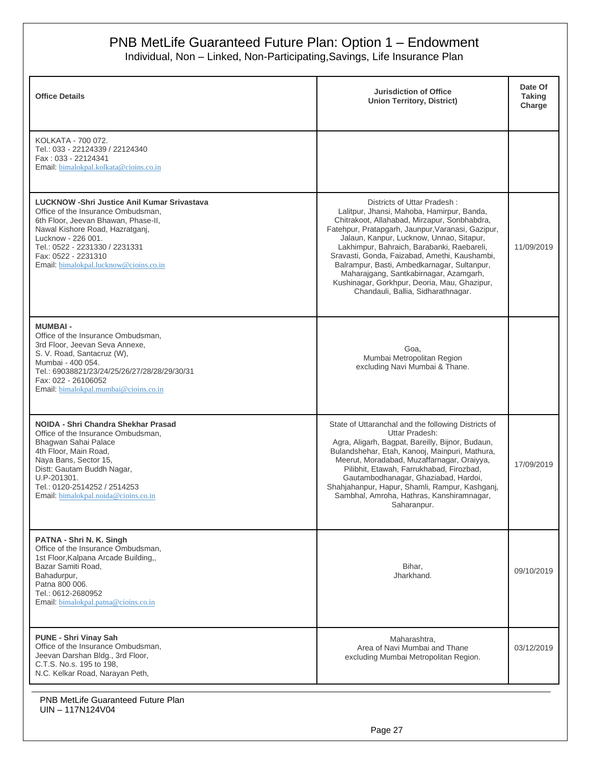Individual, Non – Linked, Non-Participating,Savings, Life Insurance Plan

| <b>Office Details</b>                                                                                                                                                                                                                                                                        | <b>Jurisdiction of Office</b><br><b>Union Territory, District)</b>                                                                                                                                                                                                                                                                                                                                                                                                                                       | Date Of<br><b>Taking</b><br>Charge |
|----------------------------------------------------------------------------------------------------------------------------------------------------------------------------------------------------------------------------------------------------------------------------------------------|----------------------------------------------------------------------------------------------------------------------------------------------------------------------------------------------------------------------------------------------------------------------------------------------------------------------------------------------------------------------------------------------------------------------------------------------------------------------------------------------------------|------------------------------------|
| KOLKATA - 700 072.<br>Tel.: 033 - 22124339 / 22124340<br>Fax: 033 - 22124341<br>Email: bimalokpal.kolkata@cioins.co.in                                                                                                                                                                       |                                                                                                                                                                                                                                                                                                                                                                                                                                                                                                          |                                    |
| <b>LUCKNOW - Shri Justice Anil Kumar Srivastava</b><br>Office of the Insurance Ombudsman,<br>6th Floor, Jeevan Bhawan, Phase-II,<br>Nawal Kishore Road, Hazratganj,<br>Lucknow - 226 001.<br>Tel.: 0522 - 2231330 / 2231331<br>Fax: 0522 - 2231310<br>Email: bimalokpal.lucknow@cioins.co.in | Districts of Uttar Pradesh:<br>Lalitpur, Jhansi, Mahoba, Hamirpur, Banda,<br>Chitrakoot, Allahabad, Mirzapur, Sonbhabdra,<br>Fatehpur, Pratapgarh, Jaunpur, Varanasi, Gazipur,<br>Jalaun, Kanpur, Lucknow, Unnao, Sitapur,<br>Lakhimpur, Bahraich, Barabanki, Raebareli,<br>Sravasti, Gonda, Faizabad, Amethi, Kaushambi,<br>Balrampur, Basti, Ambedkarnagar, Sultanpur,<br>Maharajgang, Santkabirnagar, Azamgarh,<br>Kushinagar, Gorkhpur, Deoria, Mau, Ghazipur,<br>Chandauli, Ballia, Sidharathnagar. | 11/09/2019                         |
| <b>MUMBAI-</b><br>Office of the Insurance Ombudsman,<br>3rd Floor, Jeevan Seva Annexe,<br>S. V. Road, Santacruz (W),<br>Mumbai - 400 054.<br>Tel.: 69038821/23/24/25/26/27/28/28/29/30/31<br>Fax: 022 - 26106052<br>Email: bimalokpal.mumbai@cioins.co.in                                    | Goa,<br>Mumbai Metropolitan Region<br>excluding Navi Mumbai & Thane.                                                                                                                                                                                                                                                                                                                                                                                                                                     |                                    |
| NOIDA - Shri Chandra Shekhar Prasad<br>Office of the Insurance Ombudsman,<br>Bhagwan Sahai Palace<br>4th Floor, Main Road,<br>Naya Bans, Sector 15,<br>Distt: Gautam Buddh Nagar,<br>U.P-201301.<br>Tel.: 0120-2514252 / 2514253<br>Email: bimalokpal.noida@cioins.co.in                     | State of Uttaranchal and the following Districts of<br>Uttar Pradesh:<br>Agra, Aligarh, Bagpat, Bareilly, Bijnor, Budaun,<br>Bulandshehar, Etah, Kanooj, Mainpuri, Mathura,<br>Meerut, Moradabad, Muzaffarnagar, Oraiyya,<br>Pilibhit, Etawah, Farrukhabad, Firozbad,<br>Gautambodhanagar, Ghaziabad, Hardoi,<br>Shahjahanpur, Hapur, Shamli, Rampur, Kashganj,<br>Sambhal, Amroha, Hathras, Kanshiramnagar,<br>Saharanpur.                                                                              | 17/09/2019                         |
| PATNA - Shri N. K. Singh<br>Office of the Insurance Ombudsman.<br>1st Floor, Kalpana Arcade Building,,<br>Bazar Samiti Road,<br>Bahadurpur,<br>Patna 800 006.<br>Tel.: 0612-2680952<br>Email: bimalokpal.patna@cioins.co.in                                                                  | Bihar,<br>Jharkhand.                                                                                                                                                                                                                                                                                                                                                                                                                                                                                     | 09/10/2019                         |
| <b>PUNE - Shri Vinay Sah</b><br>Office of the Insurance Ombudsman,<br>Jeevan Darshan Bldg., 3rd Floor,<br>C.T.S. No.s. 195 to 198,<br>N.C. Kelkar Road, Narayan Peth,                                                                                                                        | Maharashtra,<br>Area of Navi Mumbai and Thane<br>excluding Mumbai Metropolitan Region.                                                                                                                                                                                                                                                                                                                                                                                                                   | 03/12/2019                         |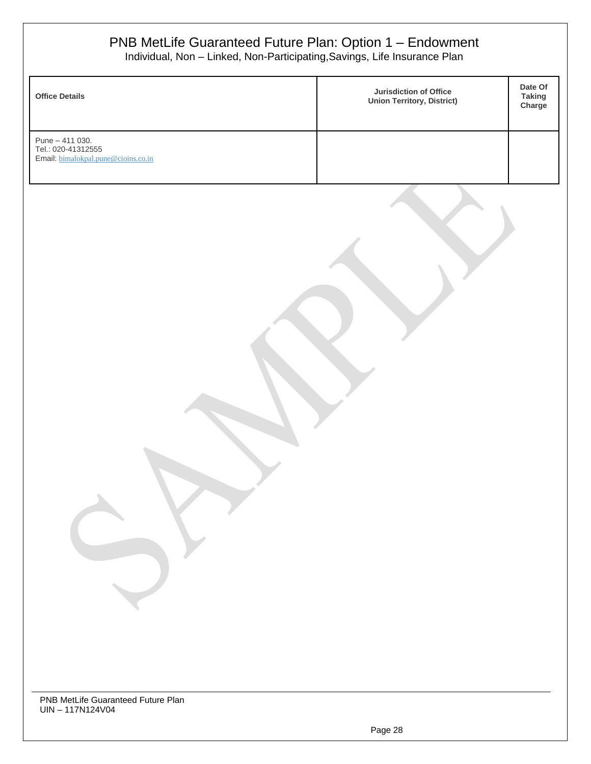| <b>Office Details</b>                                                        | Jurisdiction of Office<br><b>Union Territory, District)</b> | Date Of<br><b>Taking</b><br>Charge |
|------------------------------------------------------------------------------|-------------------------------------------------------------|------------------------------------|
| Pune - 411 030.<br>Tel.: 020-41312555<br>Email: bimalokpal.pune@cioins.co.in |                                                             |                                    |
|                                                                              |                                                             |                                    |
|                                                                              |                                                             |                                    |
|                                                                              |                                                             |                                    |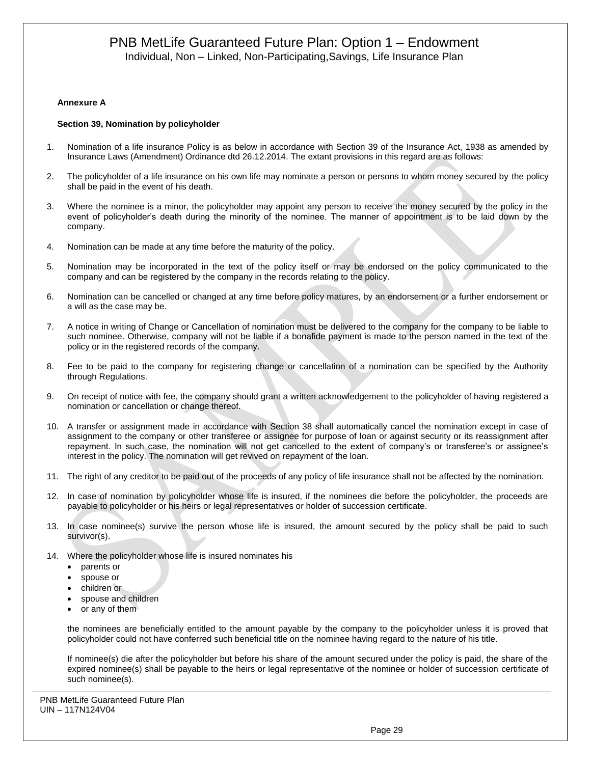#### **Annexure A**

#### **Section 39, Nomination by policyholder**

- 1. Nomination of a life insurance Policy is as below in accordance with Section 39 of the Insurance Act, 1938 as amended by Insurance Laws (Amendment) Ordinance dtd 26.12.2014. The extant provisions in this regard are as follows:
- 2. The policyholder of a life insurance on his own life may nominate a person or persons to whom money secured by the policy shall be paid in the event of his death.
- 3. Where the nominee is a minor, the policyholder may appoint any person to receive the money secured by the policy in the event of policyholder's death during the minority of the nominee. The manner of appointment is to be laid down by the company.
- 4. Nomination can be made at any time before the maturity of the policy.
- 5. Nomination may be incorporated in the text of the policy itself or may be endorsed on the policy communicated to the company and can be registered by the company in the records relating to the policy.
- 6. Nomination can be cancelled or changed at any time before policy matures, by an endorsement or a further endorsement or a will as the case may be.
- 7. A notice in writing of Change or Cancellation of nomination must be delivered to the company for the company to be liable to such nominee. Otherwise, company will not be liable if a bonafide payment is made to the person named in the text of the policy or in the registered records of the company.
- 8. Fee to be paid to the company for registering change or cancellation of a nomination can be specified by the Authority through Regulations.
- 9. On receipt of notice with fee, the company should grant a written acknowledgement to the policyholder of having registered a nomination or cancellation or change thereof.
- 10. A transfer or assignment made in accordance with Section 38 shall automatically cancel the nomination except in case of assignment to the company or other transferee or assignee for purpose of loan or against security or its reassignment after repayment. In such case, the nomination will not get cancelled to the extent of company's or transferee's or assignee's interest in the policy. The nomination will get revived on repayment of the loan.
- 11. The right of any creditor to be paid out of the proceeds of any policy of life insurance shall not be affected by the nomination.
- 12. In case of nomination by policyholder whose life is insured, if the nominees die before the policyholder, the proceeds are payable to policyholder or his heirs or legal representatives or holder of succession certificate.
- 13. In case nominee(s) survive the person whose life is insured, the amount secured by the policy shall be paid to such survivor(s).
- 14. Where the policyholder whose life is insured nominates his
	- parents or
	- spouse or
	- children or
	- spouse and children
	- or any of them

the nominees are beneficially entitled to the amount payable by the company to the policyholder unless it is proved that policyholder could not have conferred such beneficial title on the nominee having regard to the nature of his title.

If nominee(s) die after the policyholder but before his share of the amount secured under the policy is paid, the share of the expired nominee(s) shall be payable to the heirs or legal representative of the nominee or holder of succession certificate of such nominee(s).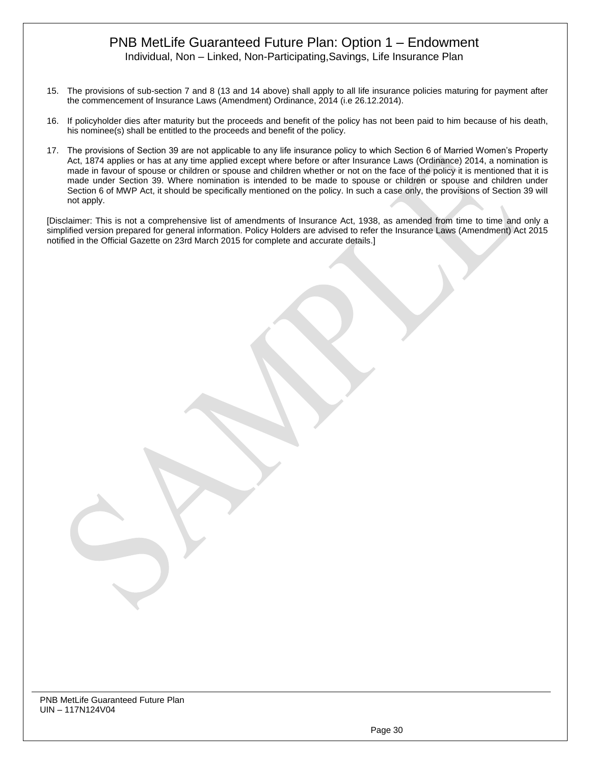Individual, Non – Linked, Non-Participating,Savings, Life Insurance Plan

- 15. The provisions of sub-section 7 and 8 (13 and 14 above) shall apply to all life insurance policies maturing for payment after the commencement of Insurance Laws (Amendment) Ordinance, 2014 (i.e 26.12.2014).
- 16. If policyholder dies after maturity but the proceeds and benefit of the policy has not been paid to him because of his death, his nominee(s) shall be entitled to the proceeds and benefit of the policy.
- 17. The provisions of Section 39 are not applicable to any life insurance policy to which Section 6 of Married Women's Property Act, 1874 applies or has at any time applied except where before or after Insurance Laws (Ordinance) 2014, a nomination is made in favour of spouse or children or spouse and children whether or not on the face of the policy it is mentioned that it is made under Section 39. Where nomination is intended to be made to spouse or children or spouse and children under Section 6 of MWP Act, it should be specifically mentioned on the policy. In such a case only, the provisions of Section 39 will not apply.

[Disclaimer: This is not a comprehensive list of amendments of Insurance Act, 1938, as amended from time to time and only a simplified version prepared for general information. Policy Holders are advised to refer the Insurance Laws (Amendment) Act 2015 notified in the Official Gazette on 23rd March 2015 for complete and accurate details.]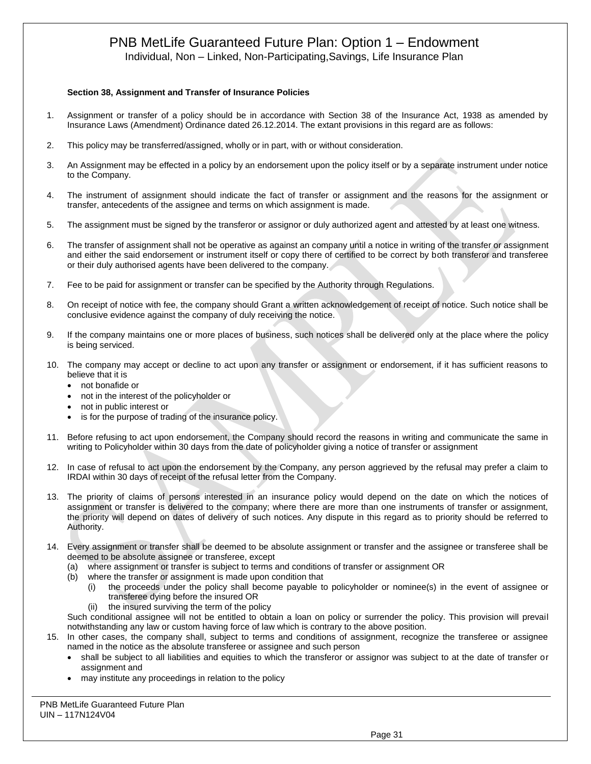Individual, Non – Linked, Non-Participating,Savings, Life Insurance Plan

#### **Section 38, Assignment and Transfer of Insurance Policies**

- 1. Assignment or transfer of a policy should be in accordance with Section 38 of the Insurance Act, 1938 as amended by Insurance Laws (Amendment) Ordinance dated 26.12.2014. The extant provisions in this regard are as follows:
- 2. This policy may be transferred/assigned, wholly or in part, with or without consideration.
- 3. An Assignment may be effected in a policy by an endorsement upon the policy itself or by a separate instrument under notice to the Company.
- 4. The instrument of assignment should indicate the fact of transfer or assignment and the reasons for the assignment or transfer, antecedents of the assignee and terms on which assignment is made.
- 5. The assignment must be signed by the transferor or assignor or duly authorized agent and attested by at least one witness.
- 6. The transfer of assignment shall not be operative as against an company until a notice in writing of the transfer or assignment and either the said endorsement or instrument itself or copy there of certified to be correct by both transferor and transferee or their duly authorised agents have been delivered to the company.
- 7. Fee to be paid for assignment or transfer can be specified by the Authority through Regulations.
- 8. On receipt of notice with fee, the company should Grant a written acknowledgement of receipt of notice. Such notice shall be conclusive evidence against the company of duly receiving the notice.
- 9. If the company maintains one or more places of business, such notices shall be delivered only at the place where the policy is being serviced.
- 10. The company may accept or decline to act upon any transfer or assignment or endorsement, if it has sufficient reasons to believe that it is
	- not bonafide or
	- not in the interest of the policyholder or
	- not in public interest or
	- is for the purpose of trading of the insurance policy.
- 11. Before refusing to act upon endorsement, the Company should record the reasons in writing and communicate the same in writing to Policyholder within 30 days from the date of policyholder giving a notice of transfer or assignment
- 12. In case of refusal to act upon the endorsement by the Company, any person aggrieved by the refusal may prefer a claim to IRDAI within 30 days of receipt of the refusal letter from the Company.
- 13. The priority of claims of persons interested in an insurance policy would depend on the date on which the notices of assignment or transfer is delivered to the company; where there are more than one instruments of transfer or assignment, the priority will depend on dates of delivery of such notices. Any dispute in this regard as to priority should be referred to Authority.
- 14. Every assignment or transfer shall be deemed to be absolute assignment or transfer and the assignee or transferee shall be deemed to be absolute assignee or transferee, except
	- (a) where assignment or transfer is subject to terms and conditions of transfer or assignment OR
	- (b) where the transfer or assignment is made upon condition that
		- (i) the proceeds under the policy shall become payable to policyholder or nominee(s) in the event of assignee or transferee dying before the insured OR
		- (ii) the insured surviving the term of the policy

Such conditional assignee will not be entitled to obtain a loan on policy or surrender the policy. This provision will prevail notwithstanding any law or custom having force of law which is contrary to the above position.

- 15. In other cases, the company shall, subject to terms and conditions of assignment, recognize the transferee or assignee named in the notice as the absolute transferee or assignee and such person
	- shall be subject to all liabilities and equities to which the transferor or assignor was subject to at the date of transfer or assignment and
	- may institute any proceedings in relation to the policy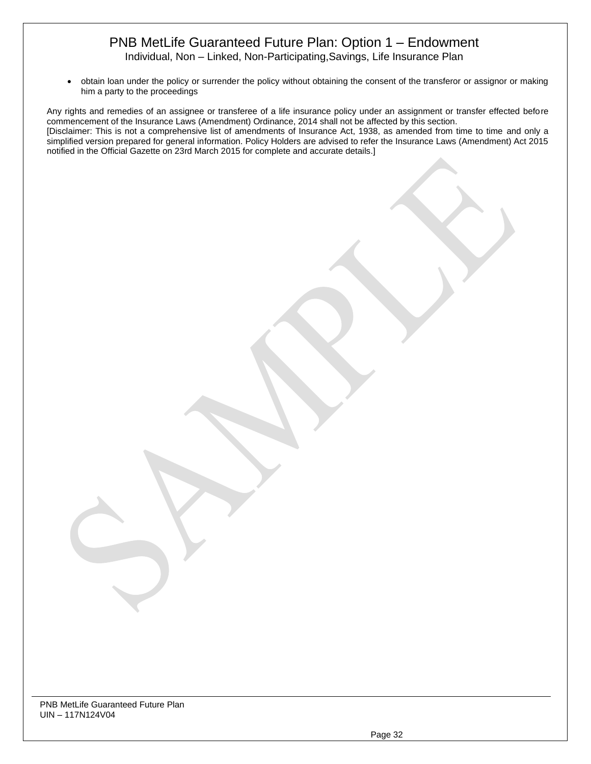Individual, Non – Linked, Non-Participating,Savings, Life Insurance Plan

• obtain loan under the policy or surrender the policy without obtaining the consent of the transferor or assignor or making him a party to the proceedings

Any rights and remedies of an assignee or transferee of a life insurance policy under an assignment or transfer effected before commencement of the Insurance Laws (Amendment) Ordinance, 2014 shall not be affected by this section. [Disclaimer: This is not a comprehensive list of amendments of Insurance Act, 1938, as amended from time to time and only a simplified version prepared for general information. Policy Holders are advised to refer the Insurance Laws (Amendment) Act 2015 notified in the Official Gazette on 23rd March 2015 for complete and accurate details.]